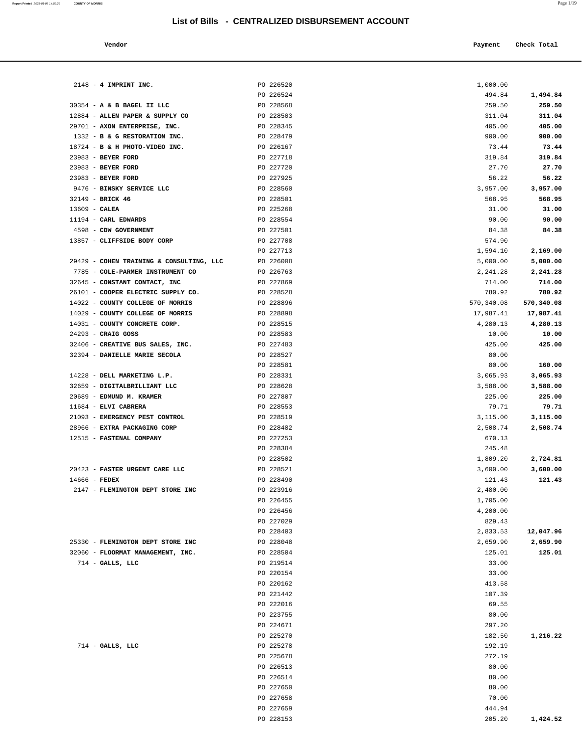## **List of Bills - CENTRALIZED DISBURSEMENT ACCOUNT**

#### **Vendor Payment Check Total**   $\blacksquare$  Payment Check Total **Payment** Check Total **Payment**

| $2148 - 4$ IMPRINT INC.                             | PO 226520              | 1,000.00           |                    |
|-----------------------------------------------------|------------------------|--------------------|--------------------|
|                                                     | PO 226524              | 494.84             | 1,494.84           |
| 30354 - A & B BAGEL II LLC                          | PO 228568              | 259.50             | 259.50             |
| 12884 - ALLEN PAPER & SUPPLY CO                     | PO 228503              | 311.04             | 311.04             |
| 29701 - AXON ENTERPRISE, INC.                       | PO 228345              | 405.00             | 405.00             |
| 1332 - B & G RESTORATION INC.                       | PO 228479              | 900.00             | 900.00             |
| 18724 - B & H PHOTO-VIDEO INC.                      | PO 226167              | 73.44              | 73.44              |
| 23983 - BEYER FORD                                  | PO 227718              | 319.84             | 319.84             |
| 23983 - BEYER FORD                                  | PO 227720              | 27.70              | 27.70              |
| 23983 - BEYER FORD                                  | PO 227925<br>PO 228560 | 56.22              | 56.22              |
| 9476 - BINSKY SERVICE LLC<br>32149 - BRICK 46       | PO 228501              | 3,957.00<br>568.95 | 3,957.00<br>568.95 |
| $13609$ - CALEA                                     | PO 225268              | 31.00              | 31.00              |
| 11194 - CARL EDWARDS                                | PO 228554              | 90.00              | 90.00              |
| 4598 - CDW GOVERNMENT                               | PO 227501              | 84.38              | 84.38              |
| 13857 - CLIFFSIDE BODY CORP                         | PO 227708              | 574.90             |                    |
|                                                     | PO 227713              | 1,594.10           | 2,169.00           |
| 29429 - COHEN TRAINING & CONSULTING, LLC            | PO 226008              | 5,000.00           | 5,000.00           |
| 7785 - COLE-PARMER INSTRUMENT CO                    | PO 226763              | 2,241.28           | 2,241.28           |
| 32645 - CONSTANT CONTACT, INC                       | PO 227869              | 714.00             | 714.00             |
| 26101 - COOPER ELECTRIC SUPPLY CO.                  | PO 228528              | 780.92             | 780.92             |
| 14022 - COUNTY COLLEGE OF MORRIS                    | PO 228896              | 570,340.08         | 570,340.08         |
| 14029 - COUNTY COLLEGE OF MORRIS                    | PO 228898              | 17,987.41          | 17,987.41          |
| 14031 - COUNTY CONCRETE CORP.                       | PO 228515              | 4,280.13           | 4,280.13           |
| 24293 - CRAIG GOSS                                  | PO 228583              | 10.00              | 10.00              |
| 32406 - CREATIVE BUS SALES, INC.                    | PO 227483              | 425.00             | 425.00             |
| 32394 - DANIELLE MARIE SECOLA                       | PO 228527              | 80.00              |                    |
|                                                     | PO 228581              | 80.00              | 160.00             |
| 14228 - DELL MARKETING L.P.                         | PO 228331              | 3,065.93           | 3,065.93           |
| 32659 - DIGITALBRILLIANT LLC                        | PO 228628              | 3,588.00           | 3,588.00           |
| 20689 - EDMUND M. KRAMER                            | PO 227807              | 225.00             | 225.00             |
| 11684 - ELVI CABRERA                                | PO 228553              | 79.71              | 79.71              |
| 21093 - EMERGENCY PEST CONTROL                      | PO 228519              | 3,115.00           | 3,115.00           |
| 28966 - EXTRA PACKAGING CORP                        | PO 228482              | 2,508.74           | 2,508.74           |
| 12515 - FASTENAL COMPANY                            | PO 227253              | 670.13             |                    |
|                                                     | PO 228384              | 245.48             |                    |
|                                                     | PO 228502              | 1,809.20           | 2,724.81           |
| 20423 - FASTER URGENT CARE LLC                      | PO 228521<br>PO 228490 | 3,600.00           | 3,600.00           |
| $14666$ - FEDEX<br>2147 - FLEMINGTON DEPT STORE INC | PO 223916              | 121.43<br>2,480.00 | 121.43             |
|                                                     | PO 226455              | 1,705.00           |                    |
|                                                     | PO 226456              | 4,200.00           |                    |
|                                                     | PO 227029              | 829.43             |                    |
|                                                     | PO 228403              | 2,833.53           | 12,047.96          |
| 25330 - FLEMINGTON DEPT STORE INC                   | PO 228048              | 2,659.90           | 2,659.90           |
| 32060 - FLOORMAT MANAGEMENT, INC.                   | PO 228504              | 125.01             | 125.01             |
| $714$ - GALLS, LLC                                  | PO 219514              | 33.00              |                    |
|                                                     | PO 220154              | 33.00              |                    |
|                                                     | PO 220162              | 413.58             |                    |
|                                                     | PO 221442              | 107.39             |                    |
|                                                     | PO 222016              | 69.55              |                    |
|                                                     | PO 223755              | 80.00              |                    |
|                                                     | PO 224671              | 297.20             |                    |
|                                                     | PO 225270              | 182.50             | 1,216.22           |
| $714$ - GALLS, LLC                                  | PO 225278              | 192.19             |                    |
|                                                     | PO 225678              | 272.19             |                    |
|                                                     | PO 226513              | 80.00              |                    |
|                                                     | PO 226514              | 80.00              |                    |
|                                                     | PO 227650              | 80.00              |                    |
|                                                     | PO 227658              | 70.00              |                    |
|                                                     | PO 227659              | 444.94             |                    |
|                                                     | PO 228153              | 205.20             | 1,424.52           |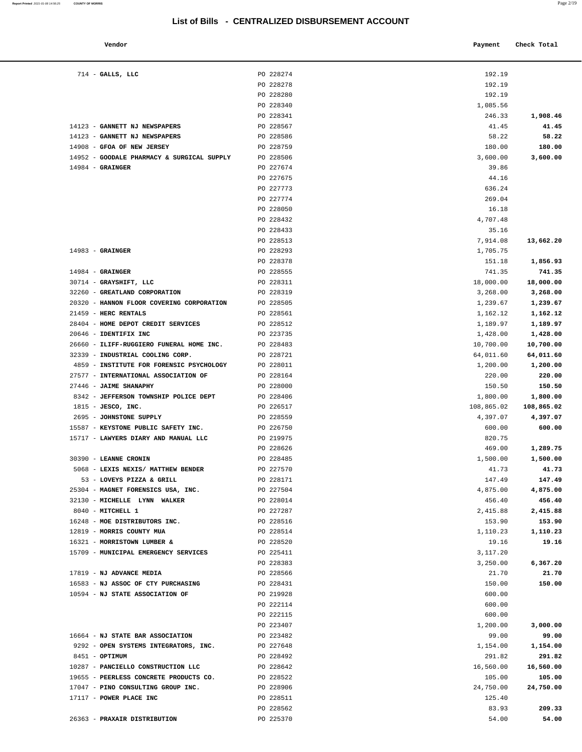## **List of Bills - CENTRALIZED DISBURSEMENT ACCOUNT**

| Vendor | Payment Check Total |
|--------|---------------------|

| $714$ - GALLS, LLC                         | PO 228274 | 192.19     |            |
|--------------------------------------------|-----------|------------|------------|
|                                            | PO 228278 | 192.19     |            |
|                                            | PO 228280 | 192.19     |            |
|                                            | PO 228340 | 1,085.56   |            |
|                                            | PO 228341 | 246.33     | 1,908.46   |
|                                            |           |            |            |
| 14123 - GANNETT NJ NEWSPAPERS              | PO 228567 | 41.45      | 41.45      |
| 14123 - GANNETT NJ NEWSPAPERS              | PO 228586 | 58.22      | 58.22      |
| 14908 - GFOA OF NEW JERSEY                 | PO 228759 | 180.00     | 180.00     |
| 14952 - GOODALE PHARMACY & SURGICAL SUPPLY | PO 228506 | 3,600.00   | 3,600.00   |
| $14984$ - GRAINGER                         | PO 227674 | 39.86      |            |
|                                            | PO 227675 | 44.16      |            |
|                                            | PO 227773 | 636.24     |            |
|                                            | PO 227774 | 269.04     |            |
|                                            | PO 228050 | 16.18      |            |
|                                            | PO 228432 | 4,707.48   |            |
|                                            | PO 228433 | 35.16      |            |
|                                            | PO 228513 | 7,914.08   | 13,662.20  |
| $14983$ - GRAINGER                         | PO 228293 | 1,705.75   |            |
|                                            | PO 228378 | 151.18     | 1,856.93   |
| $14984$ - GRAINGER                         | PO 228555 | 741.35     | 741.35     |
| 30714 - GRAYSHIFT, LLC                     | PO 228311 | 18,000.00  | 18,000.00  |
| 32260 - GREATLAND CORPORATION              | PO 228319 | 3,268.00   | 3,268.00   |
| 20320 - HANNON FLOOR COVERING CORPORATION  | PO 228505 | 1,239.67   | 1,239.67   |
| 21459 - HERC RENTALS                       | PO 228561 | 1,162.12   | 1,162.12   |
| 28404 - HOME DEPOT CREDIT SERVICES         | PO 228512 | 1,189.97   | 1,189.97   |
|                                            |           |            |            |
| 20646 - IDENTIFIX INC                      | PO 223735 | 1,428.00   | 1,428.00   |
| 26660 - ILIFF-RUGGIERO FUNERAL HOME INC.   | PO 228483 | 10,700.00  | 10,700.00  |
| 32339 - INDUSTRIAL COOLING CORP.           | PO 228721 | 64,011.60  | 64,011.60  |
| 4859 - INSTITUTE FOR FORENSIC PSYCHOLOGY   | PO 228011 | 1,200.00   | 1,200.00   |
| 27577 - INTERNATIONAL ASSOCIATION OF       | PO 228164 | 220.00     | 220.00     |
| 27446 - JAIME SHANAPHY                     | PO 228000 | 150.50     | 150.50     |
| 8342 - JEFFERSON TOWNSHIP POLICE DEPT      | PO 228406 | 1,800.00   | 1,800.00   |
| $1815$ - JESCO, INC.                       | PO 226517 | 108,865.02 | 108,865.02 |
| 2695 - JOHNSTONE SUPPLY                    | PO 228559 | 4,397.07   | 4,397.07   |
| 15587 - KEYSTONE PUBLIC SAFETY INC.        | PO 226750 | 600.00     | 600.00     |
|                                            |           |            |            |
| 15717 - LAWYERS DIARY AND MANUAL LLC       | PO 219975 | 820.75     |            |
|                                            | PO 228626 | 469.00     | 1,289.75   |
| 30390 - LEANNE CRONIN                      | PO 228485 | 1,500.00   | 1,500.00   |
| 5068 - LEXIS NEXIS/ MATTHEW BENDER         | PO 227570 | 41.73      | 41.73      |
| 53 - LOVEYS PIZZA & GRILL                  | PO 228171 | 147.49     | 147.49     |
| 25304 - MAGNET FORENSICS USA, INC.         | PO 227504 | 4,875.00   | 4,875.00   |
| 32130 - MICHELLE LYNN WALKER               | PO 228014 | 456.40     | 456.40     |
| 8040 - MITCHELL 1                          | PO 227287 | 2,415.88   | 2,415.88   |
| 16248 - MOE DISTRIBUTORS INC.              | PO 228516 |            |            |
|                                            |           | 153.90     | 153.90     |
| 12819 - MORRIS COUNTY MUA                  | PO 228514 | 1,110.23   | 1,110.23   |
| 16321 - MORRISTOWN LUMBER &                | PO 228520 | 19.16      | 19.16      |
| 15709 - MUNICIPAL EMERGENCY SERVICES       | PO 225411 | 3,117.20   |            |
|                                            | PO 228383 | 3,250.00   | 6,367.20   |
| 17819 - NJ ADVANCE MEDIA                   | PO 228566 | 21.70      | 21.70      |
| 16583 - NJ ASSOC OF CTY PURCHASING         | PO 228431 | 150.00     | 150.00     |
| 10594 - NJ STATE ASSOCIATION OF            | PO 219928 | 600.00     |            |
|                                            | PO 222114 | 600.00     |            |
|                                            | PO 222115 | 600.00     |            |
|                                            | PO 223407 | 1,200.00   | 3,000.00   |
| 16664 - NJ STATE BAR ASSOCIATION           | PO 223482 | 99.00      | 99.00      |
| 9292 - OPEN SYSTEMS INTEGRATORS, INC.      | PO 227648 | 1,154.00   | 1,154.00   |
| 8451 - OPTIMUM                             | PO 228492 | 291.82     | 291.82     |
| 10287 - PANCIELLO CONSTRUCTION LLC         | PO 228642 | 16,560.00  | 16,560.00  |
| 19655 - PEERLESS CONCRETE PRODUCTS CO.     | PO 228522 | 105.00     | 105.00     |
| 17047 - PINO CONSULTING GROUP INC.         | PO 228906 | 24,750.00  | 24,750.00  |
| 17117 - POWER PLACE INC                    | PO 228511 | 125.40     |            |
|                                            | PO 228562 | 83.93      | 209.33     |

| $714$ - GALLS, LLC                         | PO 228274 | 192.19     |            |
|--------------------------------------------|-----------|------------|------------|
|                                            | PO 228278 | 192.19     |            |
|                                            | PO 228280 | 192.19     |            |
|                                            | PO 228340 | 1,085.56   |            |
|                                            | PO 228341 | 246.33     | 1,908.46   |
| 14123 - GANNETT NJ NEWSPAPERS              | PO 228567 | 41.45      | 41.45      |
| 14123 - GANNETT NJ NEWSPAPERS              | PO 228586 | 58.22      | 58.22      |
| 14908 - GFOA OF NEW JERSEY                 | PO 228759 | 180.00     | 180.00     |
| 14952 - GOODALE PHARMACY & SURGICAL SUPPLY | PO 228506 | 3,600.00   | 3,600.00   |
| $14984$ - GRAINGER                         | PO 227674 | 39.86      |            |
|                                            | PO 227675 | 44.16      |            |
|                                            | PO 227773 | 636.24     |            |
|                                            | PO 227774 | 269.04     |            |
|                                            | PO 228050 | 16.18      |            |
|                                            | PO 228432 | 4,707.48   |            |
|                                            | PO 228433 | 35.16      |            |
|                                            | PO 228513 | 7,914.08   | 13,662.20  |
| $14983$ - GRAINGER                         | PO 228293 | 1,705.75   |            |
|                                            | PO 228378 | 151.18     | 1,856.93   |
| $14984$ - GRAINGER                         | PO 228555 | 741.35     | 741.35     |
| 30714 - GRAYSHIFT, LLC                     | PO 228311 | 18,000.00  | 18,000.00  |
| 32260 - GREATLAND CORPORATION              | PO 228319 | 3,268.00   | 3,268.00   |
| 20320 - HANNON FLOOR COVERING CORPORATION  | PO 228505 | 1,239.67   | 1,239.67   |
| 21459 - HERC RENTALS                       | PO 228561 | 1,162.12   | 1,162.12   |
| 28404 - HOME DEPOT CREDIT SERVICES         | PO 228512 | 1,189.97   | 1,189.97   |
| 20646 - IDENTIFIX INC                      | PO 223735 | 1,428.00   | 1,428.00   |
| 26660 - ILIFF-RUGGIERO FUNERAL HOME INC.   | PO 228483 | 10,700.00  | 10,700.00  |
| 32339 - INDUSTRIAL COOLING CORP.           | PO 228721 | 64,011.60  | 64,011.60  |
| 4859 - INSTITUTE FOR FORENSIC PSYCHOLOGY   | PO 228011 | 1,200.00   | 1,200.00   |
| 27577 - INTERNATIONAL ASSOCIATION OF       | PO 228164 | 220.00     | 220.00     |
| 27446 - JAIME SHANAPHY                     | PO 228000 | 150.50     | 150.50     |
| 8342 - JEFFERSON TOWNSHIP POLICE DEPT      | PO 228406 | 1,800.00   | 1,800.00   |
| $1815$ - JESCO, INC.                       | PO 226517 | 108,865.02 | 108,865.02 |
| 2695 - JOHNSTONE SUPPLY                    | PO 228559 | 4,397.07   | 4,397.07   |
| 15587 - KEYSTONE PUBLIC SAFETY INC.        | PO 226750 | 600.00     | 600.00     |
| 15717 - LAWYERS DIARY AND MANUAL LLC       | PO 219975 | 820.75     |            |
|                                            | PO 228626 | 469.00     | 1,289.75   |
| 30390 - LEANNE CRONIN                      | PO 228485 | 1,500.00   | 1,500.00   |
| 5068 - LEXIS NEXIS/ MATTHEW BENDER         | PO 227570 | 41.73      | 41.73      |
| 53 - LOVEYS PIZZA & GRILL                  | PO 228171 | 147.49     | 147.49     |
| 25304 - MAGNET FORENSICS USA, INC.         | PO 227504 | 4,875.00   | 4,875.00   |
| 32130 - MICHELLE LYNN WALKER               | PO 228014 | 456.40     | 456.40     |
| 8040 - MITCHELL 1                          | PO 227287 | 2,415.88   | 2,415.88   |
| 16248 - MOE DISTRIBUTORS INC.              | PO 228516 | 153.90     | 153.90     |
| 12819 - MORRIS COUNTY MUA                  | PO 228514 | 1,110.23   | 1,110.23   |
| 16321 - MORRISTOWN LUMBER &                | PO 228520 | 19.16      | 19.16      |
| 15709 - MUNICIPAL EMERGENCY SERVICES       | PO 225411 | 3,117.20   |            |
|                                            | PO 228383 | 3,250.00   | 6,367.20   |
| 17819 - NJ ADVANCE MEDIA                   | PO 228566 | 21.70      | 21.70      |
| 16583 - NJ ASSOC OF CTY PURCHASING         | PO 228431 | 150.00     | 150.00     |
| 10594 - NJ STATE ASSOCIATION OF            | PO 219928 | 600.00     |            |
|                                            | PO 222114 | 600.00     |            |
|                                            | PO 222115 | 600.00     |            |
|                                            | PO 223407 | 1,200.00   | 3,000.00   |
| 16664 - NJ STATE BAR ASSOCIATION           | PO 223482 | 99.00      | 99.00      |
| 9292 - OPEN SYSTEMS INTEGRATORS, INC.      | PO 227648 | 1,154.00   | 1,154.00   |
|                                            |           |            |            |
| 8451 - OPTIMUM                             | PO 228492 | 291.82     | 291.82     |
| 10287 - PANCIELLO CONSTRUCTION LLC         | PO 228642 | 16,560.00  | 16,560.00  |
| 19655 - PEERLESS CONCRETE PRODUCTS CO.     | PO 228522 | 105.00     | 105.00     |
| 17047 - PINO CONSULTING GROUP INC.         | PO 228906 | 24,750.00  | 24,750.00  |
| 17117 - POWER PLACE INC                    | PO 228511 | 125.40     |            |
|                                            | PO 228562 | 83.93      | 209.33     |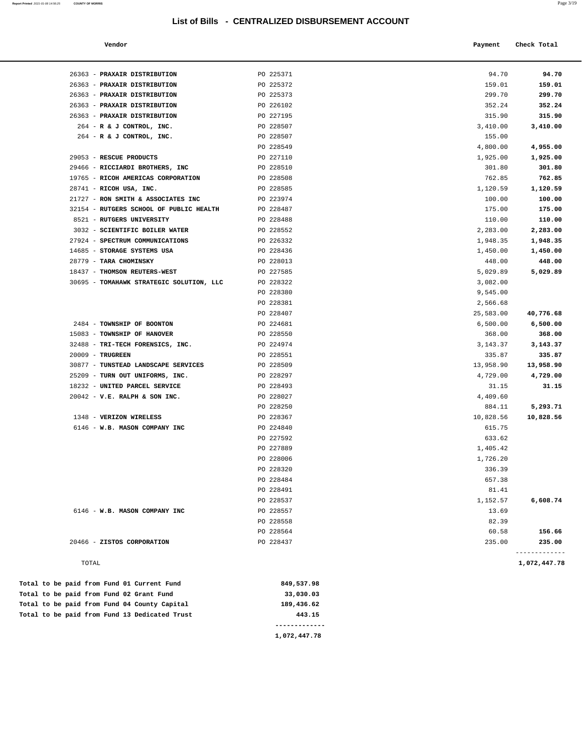## **List of Bills - CENTRALIZED DISBURSEMENT ACCOUNT**

**Report Printed** 2021-01-08 14:56:25 **COUNTY OF MORRIS** Page 3/19

| Vendor | Payment Check Total |
|--------|---------------------|
|        |                     |

| 26363 - PRAXAIR DISTRIBUTION             | PO 225371 | 94.70     | 94.70         |
|------------------------------------------|-----------|-----------|---------------|
| 26363 - PRAXAIR DISTRIBUTION             | PO 225372 | 159.01    | 159.01        |
| 26363 - PRAXAIR DISTRIBUTION             | PO 225373 | 299.70    | 299.70        |
| 26363 - PRAXAIR DISTRIBUTION             | PO 226102 | 352.24    | 352.24        |
| 26363 - PRAXAIR DISTRIBUTION             | PO 227195 | 315.90    | 315.90        |
| 264 - R & J CONTROL, INC.                | PO 228507 | 3,410.00  | 3,410.00      |
| 264 - R & J CONTROL, INC.                | PO 228507 | 155.00    |               |
|                                          | PO 228549 | 4,800.00  | 4,955.00      |
| 29053 - RESCUE PRODUCTS                  | PO 227110 | 1,925.00  | 1,925.00      |
| 29466 - RICCIARDI BROTHERS, INC          | PO 228510 | 301.80    | 301.80        |
| 19765 - RICOH AMERICAS CORPORATION       | PO 228508 | 762.85    | 762.85        |
| 28741 - RICOH USA, INC.                  | PO 228585 | 1,120.59  | 1,120.59      |
| 21727 - RON SMITH & ASSOCIATES INC       | PO 223974 | 100.00    | 100.00        |
| 32154 - RUTGERS SCHOOL OF PUBLIC HEALTH  | PO 228487 | 175.00    | 175.00        |
| 8521 - RUTGERS UNIVERSITY                | PO 228488 | 110.00    | 110.00        |
| 3032 - SCIENTIFIC BOILER WATER           | PO 228552 | 2,283.00  | 2,283.00      |
| 27924 - SPECTRUM COMMUNICATIONS          | PO 226332 | 1,948.35  | 1,948.35      |
| 14685 - STORAGE SYSTEMS USA              | PO 228436 | 1,450.00  | 1,450.00      |
| 28779 - TARA CHOMINSKY                   | PO 228013 | 448.00    | 448.00        |
| 18437 - THOMSON REUTERS-WEST             | PO 227585 | 5,029.89  | 5,029.89      |
| 30695 - TOMAHAWK STRATEGIC SOLUTION, LLC | PO 228322 | 3,082.00  |               |
|                                          | PO 228380 | 9,545.00  |               |
|                                          | PO 228381 | 2,566.68  |               |
|                                          | PO 228407 | 25,583.00 | 40,776.68     |
| 2484 - TOWNSHIP OF BOONTON               | PO 224681 | 6,500.00  | 6,500.00      |
| 15083 - TOWNSHIP OF HANOVER              | PO 228550 | 368.00    | 368.00        |
| 32488 - TRI-TECH FORENSICS, INC.         | PO 224974 | 3,143.37  | 3,143.37      |
| $20009$ - TRUGREEN                       | PO 228551 | 335.87    | 335.87        |
| 30877 - TUNSTEAD LANDSCAPE SERVICES      | PO 228509 | 13,958.90 | 13,958.90     |
| 25209 - TURN OUT UNIFORMS, INC.          | PO 228297 | 4,729.00  | 4,729.00      |
| 18232 - UNITED PARCEL SERVICE            | PO 228493 | 31.15     | 31.15         |
| $20042$ - V.E. RALPH & SON INC.          | PO 228027 | 4,409.60  |               |
|                                          | PO 228250 | 884.11    | 5,293.71      |
| 1348 - VERIZON WIRELESS                  | PO 228367 | 10,828.56 | 10,828.56     |
| 6146 - W.B. MASON COMPANY INC            | PO 224840 | 615.75    |               |
|                                          | PO 227592 | 633.62    |               |
|                                          | PO 227889 | 1,405.42  |               |
|                                          | PO 228006 | 1,726.20  |               |
|                                          | PO 228320 | 336.39    |               |
|                                          | PO 228484 | 657.38    |               |
|                                          | PO 228491 | 81.41     |               |
|                                          | PO 228537 | 1,152.57  | 6,608.74      |
| 6146 - W.B. MASON COMPANY INC            | PO 228557 | 13.69     |               |
|                                          | PO 228558 | 82.39     |               |
|                                          | PO 228564 | 60.58     | 156.66        |
| 20466 - ZISTOS CORPORATION               | PO 228437 | 235.00    | 235.00        |
|                                          |           |           | ------------- |

|  |  |  |  | Total to be paid from Fund 13 Dedicated Trust | 443.15     |
|--|--|--|--|-----------------------------------------------|------------|
|  |  |  |  | Total to be paid from Fund 04 County Capital  | 189,436.62 |
|  |  |  |  | Total to be paid from Fund 02 Grant Fund      | 33,030.03  |
|  |  |  |  | Total to be paid from Fund 01 Current Fund    | 849,537.98 |

**1,072,447.78**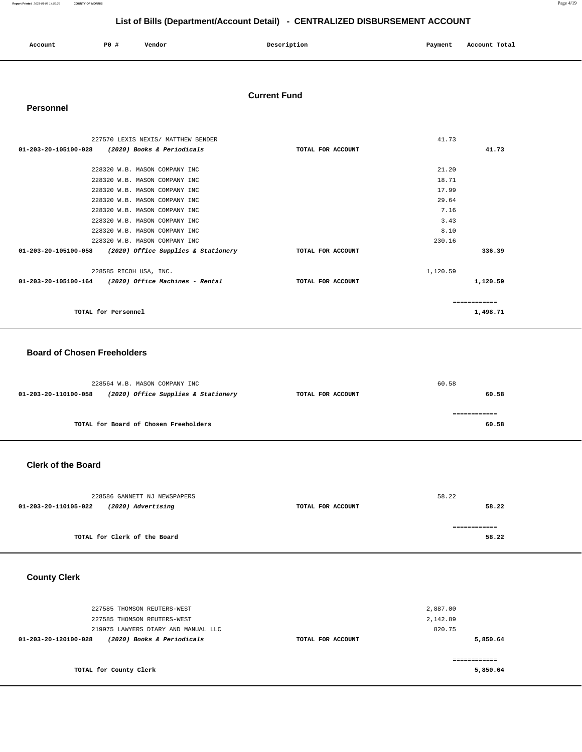| Account<br>. | P0 | Vendor | Description | Payment<br>$\sim$ $\sim$ | Account Total |  |
|--------------|----|--------|-------------|--------------------------|---------------|--|
|              |    |        |             |                          |               |  |

#### **Current Fund**

#### **Personnel**

| 227570 LEXIS NEXIS/ MATTHEW BENDER                          |                   | 41.73    |          |
|-------------------------------------------------------------|-------------------|----------|----------|
| 01-203-20-105100-028<br>(2020) Books & Periodicals          | TOTAL FOR ACCOUNT |          | 41.73    |
|                                                             |                   |          |          |
| 228320 W.B. MASON COMPANY INC                               |                   | 21.20    |          |
| 228320 W.B. MASON COMPANY INC                               |                   | 18.71    |          |
| 228320 W.B. MASON COMPANY INC                               |                   | 17.99    |          |
| 228320 W.B. MASON COMPANY INC                               |                   | 29.64    |          |
| 228320 W.B. MASON COMPANY INC                               |                   | 7.16     |          |
| 228320 W.B. MASON COMPANY INC                               |                   | 3.43     |          |
| 228320 W.B. MASON COMPANY INC                               |                   | 8.10     |          |
| 228320 W.B. MASON COMPANY INC                               |                   | 230.16   |          |
| 01-203-20-105100-058<br>(2020) Office Supplies & Stationery | TOTAL FOR ACCOUNT |          | 336.39   |
| 228585 RICOH USA, INC.                                      |                   | 1,120.59 |          |
| $01-203-20-105100-164$ (2020) Office Machines - Rental      | TOTAL FOR ACCOUNT |          | 1,120.59 |
|                                                             |                   |          |          |
| TOTAL for Personnel                                         |                   |          | 1,498.71 |

#### **Board of Chosen Freeholders**

|                      | 228564 W.B. MASON COMPANY INC         |                   | 60.58 |
|----------------------|---------------------------------------|-------------------|-------|
| 01-203-20-110100-058 | (2020) Office Supplies & Stationery   | TOTAL FOR ACCOUNT | 60.58 |
|                      |                                       |                   |       |
|                      |                                       |                   |       |
|                      | TOTAL for Board of Chosen Freeholders |                   | 60.58 |

## **Clerk of the Board**

| 228586 GANNETT NJ NEWSPAPERS               |                   | 58.22 |
|--------------------------------------------|-------------------|-------|
| (2020) Advertising<br>01-203-20-110105-022 | TOTAL FOR ACCOUNT | 58.22 |
|                                            |                   |       |
|                                            |                   |       |
| TOTAL for Clerk of the Board               |                   | 58.22 |
|                                            |                   |       |

## **County Clerk**

| 227585 THOMSON REUTERS-WEST<br>227585 THOMSON REUTERS-WEST |                   | 2,887.00<br>2,142.89 |
|------------------------------------------------------------|-------------------|----------------------|
| 219975 LAWYERS DIARY AND MANUAL LLC                        |                   | 820.75               |
| (2020) Books & Periodicals<br>01-203-20-120100-028         | TOTAL FOR ACCOUNT | 5,850.64             |
| TOTAL for County Clerk                                     |                   | 5,850.64             |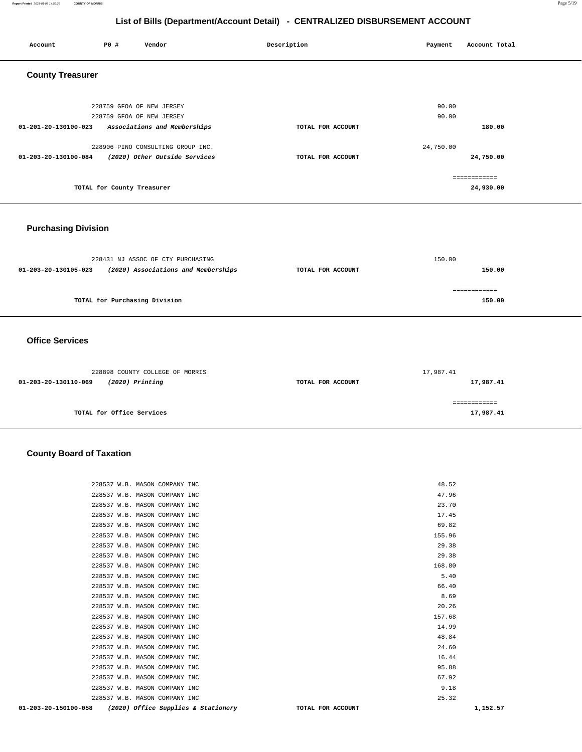#### **Report Printed** 2021-01-08 14:56:25 **COUNTY OF MORRIS** Page 5/19

## **List of Bills (Department/Account Detail) - CENTRALIZED DISBURSEMENT ACCOUNT**

| Account                    | PO#                           | Vendor                              | Description       | Payment   | Account Total          |
|----------------------------|-------------------------------|-------------------------------------|-------------------|-----------|------------------------|
| <b>County Treasurer</b>    |                               |                                     |                   |           |                        |
|                            |                               |                                     |                   |           |                        |
|                            |                               | 228759 GFOA OF NEW JERSEY           |                   | 90.00     |                        |
|                            |                               | 228759 GFOA OF NEW JERSEY           |                   | 90.00     |                        |
| 01-201-20-130100-023       |                               | Associations and Memberships        | TOTAL FOR ACCOUNT |           | 180.00                 |
|                            |                               | 228906 PINO CONSULTING GROUP INC.   |                   | 24,750.00 |                        |
| 01-203-20-130100-084       |                               | (2020) Other Outside Services       | TOTAL FOR ACCOUNT |           | 24,750.00              |
|                            |                               |                                     |                   |           | ============           |
|                            | TOTAL for County Treasurer    |                                     |                   |           | 24,930.00              |
|                            |                               |                                     |                   |           |                        |
|                            |                               |                                     |                   |           |                        |
| <b>Purchasing Division</b> |                               |                                     |                   |           |                        |
|                            |                               |                                     |                   |           |                        |
|                            |                               | 228431 NJ ASSOC OF CTY PURCHASING   |                   | 150.00    |                        |
| 01-203-20-130105-023       |                               | (2020) Associations and Memberships | TOTAL FOR ACCOUNT |           | 150.00                 |
|                            |                               |                                     |                   |           |                        |
|                            | TOTAL for Purchasing Division |                                     |                   |           | ============<br>150.00 |
|                            |                               |                                     |                   |           |                        |
|                            |                               |                                     |                   |           |                        |
| <b>Office Services</b>     |                               |                                     |                   |           |                        |
|                            |                               |                                     |                   |           |                        |
|                            |                               |                                     |                   |           |                        |
| 01-203-20-130110-069       |                               | 228898 COUNTY COLLEGE OF MORRIS     | TOTAL FOR ACCOUNT | 17,987.41 | 17,987.41              |
|                            |                               | (2020) Printing                     |                   |           |                        |
|                            |                               |                                     |                   |           | ============           |
|                            | TOTAL for Office Services     |                                     |                   |           | 17,987.41              |

## **County Board of Taxation**

| 01-203-20-150100-058 |                               | (2020) Office Supplies & Stationery | TOTAL FOR ACCOUNT | 1,152.57 |
|----------------------|-------------------------------|-------------------------------------|-------------------|----------|
|                      | 228537 W.B. MASON COMPANY INC |                                     | 25.32             |          |
|                      | 228537 W.B. MASON COMPANY INC |                                     | 9.18              |          |
|                      | 228537 W.B. MASON COMPANY INC |                                     | 67.92             |          |
|                      | 228537 W.B. MASON COMPANY INC |                                     | 95.88             |          |
|                      | 228537 W.B. MASON COMPANY INC |                                     | 16.44             |          |
|                      | 228537 W.B. MASON COMPANY INC |                                     | 24.60             |          |
|                      | 228537 W.B. MASON COMPANY INC |                                     | 48.84             |          |
|                      | 228537 W.B. MASON COMPANY INC |                                     | 14.99             |          |
|                      | 228537 W.B. MASON COMPANY INC |                                     | 157.68            |          |
|                      | 228537 W.B. MASON COMPANY INC |                                     | 20.26             |          |
|                      | 228537 W.B. MASON COMPANY INC |                                     | 8.69              |          |
|                      | 228537 W.B. MASON COMPANY INC |                                     | 66.40             |          |
|                      | 228537 W.B. MASON COMPANY INC |                                     | 5.40              |          |
|                      | 228537 W.B. MASON COMPANY INC |                                     | 168.80            |          |
|                      | 228537 W.B. MASON COMPANY INC |                                     | 29.38             |          |
|                      | 228537 W.B. MASON COMPANY INC |                                     | 29.38             |          |
|                      | 228537 W.B. MASON COMPANY INC |                                     | 155.96            |          |
|                      | 228537 W.B. MASON COMPANY INC |                                     | 69.82             |          |
|                      | 228537 W.B. MASON COMPANY INC |                                     | 17.45             |          |
|                      | 228537 W.B. MASON COMPANY INC |                                     | 23.70             |          |
|                      | 228537 W.B. MASON COMPANY INC |                                     | 47.96             |          |
|                      | 228537 W.B. MASON COMPANY INC |                                     | 48.52             |          |
|                      |                               |                                     |                   |          |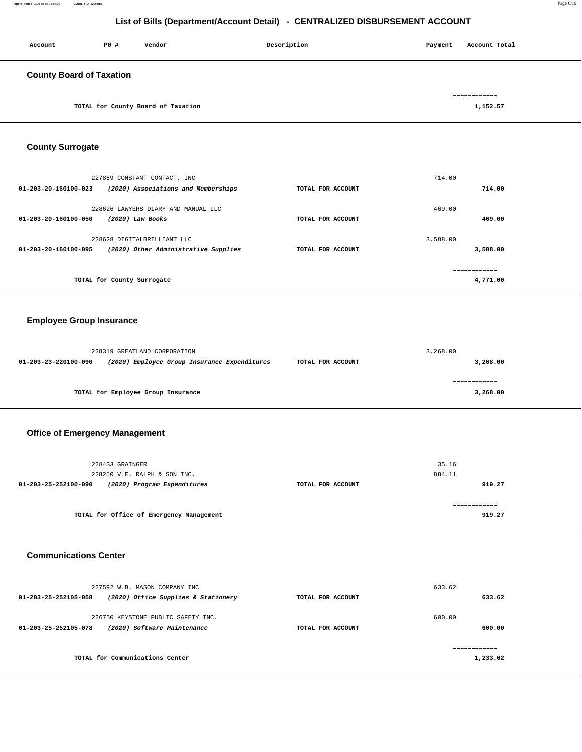#### **Report Printed** 2021-01-08 14:56:25 **COUNTY OF MORRIS** Page 6/19

## **List of Bills (Department/Account Detail) - CENTRALIZED DISBURSEMENT ACCOUNT**

| Account                         | P0 #                       | Vendor                                       | Description       | Payment  | Account Total |
|---------------------------------|----------------------------|----------------------------------------------|-------------------|----------|---------------|
| <b>County Board of Taxation</b> |                            |                                              |                   |          |               |
|                                 |                            |                                              |                   |          |               |
|                                 |                            |                                              |                   |          | ============  |
|                                 |                            | TOTAL for County Board of Taxation           |                   |          | 1,152.57      |
|                                 |                            |                                              |                   |          |               |
|                                 |                            |                                              |                   |          |               |
| <b>County Surrogate</b>         |                            |                                              |                   |          |               |
|                                 |                            |                                              |                   |          |               |
|                                 |                            |                                              |                   |          |               |
|                                 |                            | 227869 CONSTANT CONTACT, INC                 |                   | 714.00   |               |
| 01-203-20-160100-023            |                            | (2020) Associations and Memberships          | TOTAL FOR ACCOUNT |          | 714.00        |
|                                 |                            | 228626 LAWYERS DIARY AND MANUAL LLC          |                   | 469.00   |               |
| 01-203-20-160100-050            | (2020) Law Books           |                                              | TOTAL FOR ACCOUNT |          | 469.00        |
|                                 |                            |                                              |                   |          |               |
|                                 |                            | 228628 DIGITALBRILLIANT LLC                  |                   | 3,588.00 |               |
| 01-203-20-160100-095            |                            | (2020) Other Administrative Supplies         | TOTAL FOR ACCOUNT |          | 3,588.00      |
|                                 |                            |                                              |                   |          |               |
|                                 |                            |                                              |                   |          | ============  |
|                                 | TOTAL for County Surrogate |                                              |                   |          | 4,771.00      |
|                                 |                            |                                              |                   |          |               |
|                                 |                            |                                              |                   |          |               |
| <b>Employee Group Insurance</b> |                            |                                              |                   |          |               |
|                                 |                            |                                              |                   |          |               |
|                                 |                            |                                              |                   |          |               |
| 01-203-23-220100-090            |                            | 228319 GREATLAND CORPORATION                 |                   | 3,268.00 |               |
|                                 |                            | (2020) Employee Group Insurance Expenditures | TOTAL FOR ACCOUNT |          | 3,268.00      |
|                                 |                            |                                              |                   |          | ============  |
|                                 |                            | TOTAL for Employee Group Insurance           |                   |          | 3,268.00      |
|                                 |                            |                                              |                   |          |               |
|                                 |                            |                                              |                   |          |               |

## **Office of Emergency Management**

| 228433 GRAINGER<br>228250 V.E. RALPH & SON INC.     |                   | 35.16<br>884.11 |
|-----------------------------------------------------|-------------------|-----------------|
| (2020) Program Expenditures<br>01-203-25-252100-090 | TOTAL FOR ACCOUNT | 919.27          |
| TOTAL for Office of Emergency Management            |                   | 919.27          |

#### **Communications Center**

| 227592 W.B. MASON COMPANY INC<br>(2020) Office Supplies & Stationery<br>$01 - 203 - 25 - 252105 - 058$ | TOTAL FOR ACCOUNT | 633.62<br>633.62 |
|--------------------------------------------------------------------------------------------------------|-------------------|------------------|
| 226750 KEYSTONE PUBLIC SAFETY INC.<br>(2020) Software Maintenance<br>01-203-25-252105-078              | TOTAL FOR ACCOUNT | 600.00<br>600.00 |
| TOTAL for Communications Center                                                                        |                   | 1,233.62         |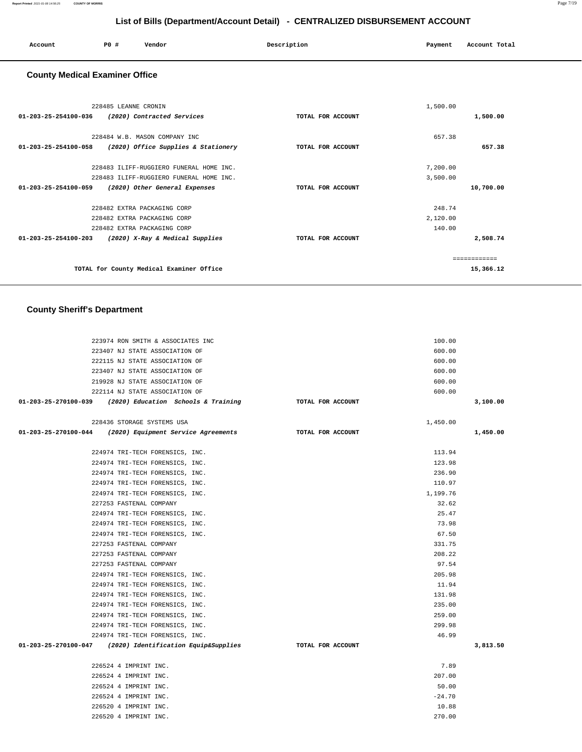| Account<br>. | P0 # | Vendor | Description | Payment | Account Total |
|--------------|------|--------|-------------|---------|---------------|
|              |      |        |             |         |               |

## **County Medical Examiner Office**

|                                | 228485 LEANNE CRONIN                     |                   | 1,500.00 |              |
|--------------------------------|------------------------------------------|-------------------|----------|--------------|
| $01 - 203 - 25 - 254100 - 036$ | (2020) Contracted Services               | TOTAL FOR ACCOUNT |          | 1,500.00     |
|                                | 228484 W.B. MASON COMPANY INC            |                   | 657.38   |              |
| $01 - 203 - 25 - 254100 - 058$ | (2020) Office Supplies & Stationery      | TOTAL FOR ACCOUNT |          | 657.38       |
|                                | 228483 ILIFF-RUGGIERO FUNERAL HOME INC.  |                   | 7,200.00 |              |
|                                | 228483 ILIFF-RUGGIERO FUNERAL HOME INC.  |                   | 3,500.00 |              |
| $01 - 203 - 25 - 254100 - 059$ | (2020) Other General Expenses            | TOTAL FOR ACCOUNT |          | 10,700.00    |
|                                | 228482 EXTRA PACKAGING CORP              |                   | 248.74   |              |
|                                | 228482 EXTRA PACKAGING CORP              |                   | 2,120.00 |              |
|                                | 228482 EXTRA PACKAGING CORP              |                   | 140.00   |              |
| $01 - 203 - 25 - 254100 - 203$ | (2020) X-Ray & Medical Supplies          | TOTAL FOR ACCOUNT |          | 2,508.74     |
|                                |                                          |                   |          | ============ |
|                                | TOTAL for County Medical Examiner Office |                   |          | 15,366.12    |
|                                |                                          |                   |          |              |

## **County Sheriff's Department**

| 223974 RON SMITH & ASSOCIATES INC                                           |                   | 100.00   |          |
|-----------------------------------------------------------------------------|-------------------|----------|----------|
| 223407 NJ STATE ASSOCIATION OF                                              |                   | 600.00   |          |
| 222115 NJ STATE ASSOCIATION OF                                              |                   | 600.00   |          |
| 223407 NJ STATE ASSOCIATION OF                                              |                   | 600.00   |          |
| 219928 NJ STATE ASSOCIATION OF                                              |                   | 600.00   |          |
| 222114 NJ STATE ASSOCIATION OF                                              |                   | 600.00   |          |
| 01-203-25-270100-039 (2020) Education Schools & Training                    | TOTAL FOR ACCOUNT |          | 3,100.00 |
| 228436 STORAGE SYSTEMS USA                                                  |                   | 1,450.00 |          |
| $01-203-25-270100-044$ (2020) Equipment Service Agreements                  | TOTAL FOR ACCOUNT |          | 1,450.00 |
| 224974 TRI-TECH FORENSICS, INC.                                             |                   | 113.94   |          |
| 224974 TRI-TECH FORENSICS, INC.                                             |                   | 123.98   |          |
| 224974 TRI-TECH FORENSICS, INC.                                             |                   | 236.90   |          |
| 224974 TRI-TECH FORENSICS, INC.                                             |                   | 110.97   |          |
| 224974 TRI-TECH FORENSICS, INC.                                             |                   | 1,199.76 |          |
| 227253 FASTENAL COMPANY                                                     |                   | 32.62    |          |
| 224974 TRI-TECH FORENSICS, INC.                                             |                   | 25.47    |          |
| 224974 TRI-TECH FORENSICS, INC.                                             |                   | 73.98    |          |
| 224974 TRI-TECH FORENSICS, INC.                                             |                   | 67.50    |          |
| 227253 FASTENAL COMPANY                                                     |                   | 331.75   |          |
| 227253 FASTENAL COMPANY                                                     |                   | 208.22   |          |
| 227253 FASTENAL COMPANY                                                     |                   | 97.54    |          |
| 224974 TRI-TECH FORENSICS, INC.                                             |                   | 205.98   |          |
| 224974 TRI-TECH FORENSICS, INC.                                             |                   | 11.94    |          |
| 224974 TRI-TECH FORENSICS, INC.                                             |                   | 131.98   |          |
| 224974 TRI-TECH FORENSICS, INC.                                             |                   | 235.00   |          |
| 224974 TRI-TECH FORENSICS, INC.                                             |                   | 259.00   |          |
| 224974 TRI-TECH FORENSICS, INC.                                             |                   | 299.98   |          |
| 224974 TRI-TECH FORENSICS, INC.                                             |                   | 46.99    |          |
| 01-203-25-270100-047 (2020) Identification Equip&Supplies TOTAL FOR ACCOUNT |                   |          | 3,813.50 |
| 226524 4 IMPRINT INC.                                                       |                   | 7.89     |          |
| 226524 4 IMPRINT INC.                                                       |                   | 207.00   |          |
| 226524 4 IMPRINT INC.                                                       |                   | 50.00    |          |
| 226524 4 IMPRINT INC.                                                       |                   | $-24.70$ |          |
| 226520 4 IMPRINT INC.                                                       |                   | 10.88    |          |
| 226520 4 IMPRINT INC.                                                       |                   | 270.00   |          |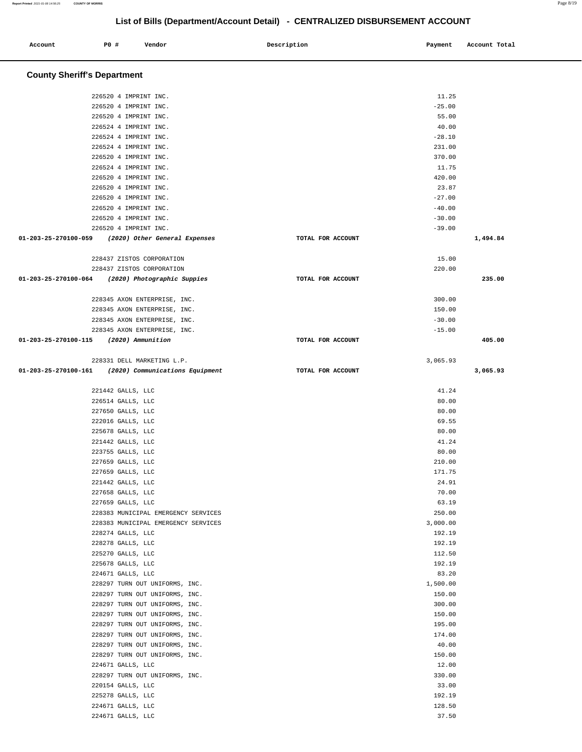| Account                            | P0 #                                   | Vendor                                                           | Description       | Payment            | Account Total |
|------------------------------------|----------------------------------------|------------------------------------------------------------------|-------------------|--------------------|---------------|
| <b>County Sheriff's Department</b> |                                        |                                                                  |                   |                    |               |
|                                    |                                        | 226520 4 IMPRINT INC.                                            |                   | 11.25              |               |
|                                    |                                        | 226520 4 IMPRINT INC.                                            |                   | $-25.00$           |               |
|                                    |                                        | 226520 4 IMPRINT INC.                                            |                   | 55.00              |               |
|                                    |                                        | 226524 4 IMPRINT INC.                                            |                   | 40.00              |               |
|                                    |                                        | 226524 4 IMPRINT INC.                                            |                   | $-28.10$           |               |
|                                    |                                        | 226524 4 IMPRINT INC.                                            |                   | 231.00             |               |
|                                    |                                        | 226520 4 IMPRINT INC.                                            |                   | 370.00             |               |
|                                    |                                        | 226524 4 IMPRINT INC.                                            |                   | 11.75              |               |
|                                    |                                        | 226520 4 IMPRINT INC.                                            |                   | 420.00             |               |
|                                    |                                        | 226520 4 IMPRINT INC.<br>226520 4 IMPRINT INC.                   |                   | 23.87<br>$-27.00$  |               |
|                                    |                                        | 226520 4 IMPRINT INC.                                            |                   | $-40.00$           |               |
|                                    |                                        | 226520 4 IMPRINT INC.                                            |                   | $-30.00$           |               |
|                                    |                                        | 226520 4 IMPRINT INC.                                            |                   | $-39.00$           |               |
| 01-203-25-270100-059               |                                        | (2020) Other General Expenses                                    | TOTAL FOR ACCOUNT |                    | 1,494.84      |
|                                    |                                        | 228437 ZISTOS CORPORATION                                        |                   | 15.00              |               |
|                                    |                                        | 228437 ZISTOS CORPORATION                                        |                   | 220.00             |               |
| 01-203-25-270100-064               |                                        | (2020) Photographic Suppies                                      | TOTAL FOR ACCOUNT |                    | 235.00        |
|                                    |                                        |                                                                  |                   |                    |               |
|                                    |                                        | 228345 AXON ENTERPRISE, INC.                                     |                   | 300.00             |               |
|                                    |                                        | 228345 AXON ENTERPRISE, INC.                                     |                   | 150.00             |               |
|                                    |                                        | 228345 AXON ENTERPRISE, INC.                                     |                   | $-30.00$           |               |
|                                    |                                        | 228345 AXON ENTERPRISE, INC.                                     |                   | $-15.00$           |               |
| 01-203-25-270100-115               |                                        | (2020) Ammunition                                                | TOTAL FOR ACCOUNT |                    | 405.00        |
|                                    |                                        | 228331 DELL MARKETING L.P.                                       |                   | 3,065.93           |               |
| 01-203-25-270100-161               |                                        | (2020) Communications Equipment                                  | TOTAL FOR ACCOUNT |                    | 3,065.93      |
|                                    | 221442 GALLS, LLC                      |                                                                  |                   | 41.24              |               |
|                                    | 226514 GALLS, LLC                      |                                                                  |                   | 80.00              |               |
|                                    | 227650 GALLS, LLC                      |                                                                  |                   | 80.00              |               |
|                                    | 222016 GALLS, LLC                      |                                                                  |                   | 69.55              |               |
|                                    | 225678 GALLS, LLC                      |                                                                  |                   | 80.00              |               |
|                                    | 221442 GALLS, LLC                      |                                                                  |                   | 41.24              |               |
|                                    | 223755 GALLS, LLC                      |                                                                  |                   | 80.00              |               |
|                                    | 227659 GALLS, LLC                      |                                                                  |                   | 210.00             |               |
|                                    | 227659 GALLS, LLC                      |                                                                  |                   | 171.75             |               |
|                                    | 221442 GALLS, LLC<br>227658 GALLS, LLC |                                                                  |                   | 24.91<br>70.00     |               |
|                                    | 227659 GALLS, LLC                      |                                                                  |                   | 63.19              |               |
|                                    |                                        | 228383 MUNICIPAL EMERGENCY SERVICES                              |                   | 250.00             |               |
|                                    |                                        | 228383 MUNICIPAL EMERGENCY SERVICES                              |                   | 3,000.00           |               |
|                                    | 228274 GALLS, LLC                      |                                                                  |                   | 192.19             |               |
|                                    | 228278 GALLS, LLC                      |                                                                  |                   | 192.19             |               |
|                                    | 225270 GALLS, LLC                      |                                                                  |                   | 112.50             |               |
|                                    | 225678 GALLS, LLC                      |                                                                  |                   | 192.19             |               |
|                                    | 224671 GALLS, LLC                      |                                                                  |                   | 83.20              |               |
|                                    |                                        | 228297 TURN OUT UNIFORMS, INC.                                   |                   | 1,500.00<br>150.00 |               |
|                                    |                                        | 228297 TURN OUT UNIFORMS, INC.<br>228297 TURN OUT UNIFORMS, INC. |                   | 300.00             |               |
|                                    |                                        | 228297 TURN OUT UNIFORMS, INC.                                   |                   | 150.00             |               |
|                                    |                                        | 228297 TURN OUT UNIFORMS, INC.                                   |                   | 195.00             |               |
|                                    |                                        | 228297 TURN OUT UNIFORMS, INC.                                   |                   | 174.00             |               |
|                                    |                                        | 228297 TURN OUT UNIFORMS, INC.                                   |                   | 40.00              |               |
|                                    |                                        | 228297 TURN OUT UNIFORMS, INC.                                   |                   | 150.00             |               |
|                                    | 224671 GALLS, LLC                      |                                                                  |                   | 12.00              |               |
|                                    |                                        | 228297 TURN OUT UNIFORMS, INC.                                   |                   | 330.00             |               |
|                                    | 220154 GALLS, LLC                      |                                                                  |                   | 33.00              |               |
|                                    | 225278 GALLS, LLC                      |                                                                  |                   | 192.19             |               |
|                                    | 224671 GALLS, LLC<br>224671 GALLS, LLC |                                                                  |                   | 128.50<br>37.50    |               |
|                                    |                                        |                                                                  |                   |                    |               |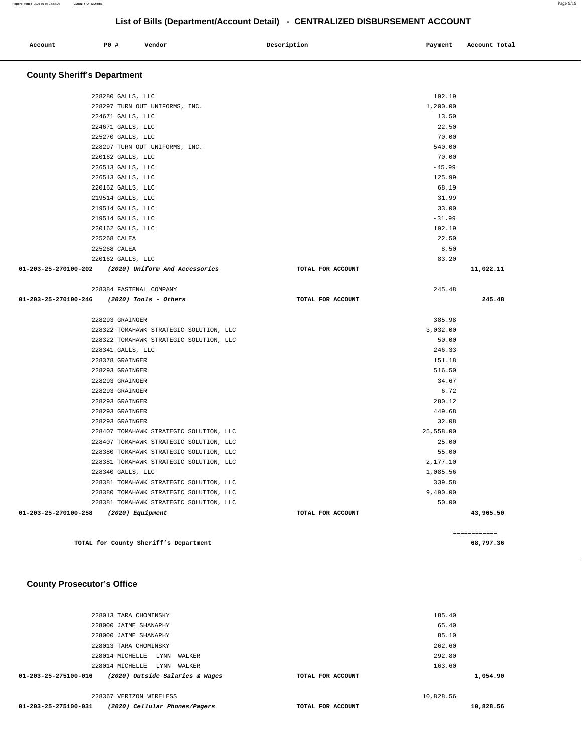| Account Total<br>PO#<br>Payment<br>Account<br>Description<br>Vendor |  |
|---------------------------------------------------------------------|--|
|                                                                     |  |

## **County Sheriff's Department**

| 228280 GALLS, LLC                                                                |                   | 192.19    |           |
|----------------------------------------------------------------------------------|-------------------|-----------|-----------|
| 228297 TURN OUT UNIFORMS, INC.                                                   |                   | 1,200.00  |           |
| 224671 GALLS, LLC                                                                |                   | 13.50     |           |
| 224671 GALLS, LLC                                                                |                   | 22.50     |           |
| 225270 GALLS, LLC                                                                |                   | 70.00     |           |
| 228297 TURN OUT UNIFORMS, INC.                                                   |                   | 540.00    |           |
| 220162 GALLS, LLC                                                                |                   | 70.00     |           |
| 226513 GALLS, LLC                                                                |                   | $-45.99$  |           |
| 226513 GALLS, LLC                                                                |                   | 125.99    |           |
| 220162 GALLS, LLC                                                                |                   | 68.19     |           |
| 219514 GALLS, LLC                                                                |                   | 31.99     |           |
| 219514 GALLS, LLC                                                                |                   | 33.00     |           |
| 219514 GALLS, LLC                                                                |                   | $-31.99$  |           |
| 220162 GALLS, LLC                                                                |                   | 192.19    |           |
| 225268 CALEA                                                                     |                   | 22.50     |           |
| 225268 CALEA                                                                     |                   | 8.50      |           |
| 220162 GALLS, LLC                                                                |                   | 83.20     |           |
| 01-203-25-270100-202 (2020) Uniform And Accessories                              | TOTAL FOR ACCOUNT |           | 11,022.11 |
| 228384 FASTENAL COMPANY                                                          |                   | 245.48    |           |
| 01-203-25-270100-246 (2020) Tools - Others                                       | TOTAL FOR ACCOUNT |           | 245.48    |
| 228293 GRAINGER                                                                  |                   | 385.98    |           |
| 228322 TOMAHAWK STRATEGIC SOLUTION, LLC                                          |                   | 3,032.00  |           |
| 228322 TOMAHAWK STRATEGIC SOLUTION, LLC                                          |                   | 50.00     |           |
| 228341 GALLS, LLC                                                                |                   | 246.33    |           |
| 228378 GRAINGER                                                                  |                   | 151.18    |           |
| 228293 GRAINGER                                                                  |                   | 516.50    |           |
| 228293 GRAINGER                                                                  |                   | 34.67     |           |
| 228293 GRAINGER                                                                  |                   | 6.72      |           |
| 228293 GRAINGER                                                                  |                   | 280.12    |           |
|                                                                                  |                   | 449.68    |           |
|                                                                                  |                   |           |           |
| 228293 GRAINGER                                                                  |                   |           |           |
| 228293 GRAINGER                                                                  |                   | 32.08     |           |
| 228407 TOMAHAWK STRATEGIC SOLUTION, LLC                                          |                   | 25,558.00 |           |
| 228407 TOMAHAWK STRATEGIC SOLUTION, LLC                                          |                   | 25.00     |           |
| 228380 TOMAHAWK STRATEGIC SOLUTION, LLC                                          |                   | 55.00     |           |
| 228381 TOMAHAWK STRATEGIC SOLUTION, LLC                                          |                   | 2,177.10  |           |
| 228340 GALLS, LLC                                                                |                   | 1,085.56  |           |
| 228381 TOMAHAWK STRATEGIC SOLUTION, LLC                                          |                   | 339.58    |           |
| 228380 TOMAHAWK STRATEGIC SOLUTION, LLC                                          |                   | 9,490.00  |           |
| 228381 TOMAHAWK STRATEGIC SOLUTION, LLC<br>01-203-25-270100-258 (2020) Equipment | TOTAL FOR ACCOUNT | 50.00     | 43,965.50 |

## **County Prosecutor's Office**

| 228013 TARA CHOMINSKY                                   |                   | 185.40    |           |
|---------------------------------------------------------|-------------------|-----------|-----------|
| 228000 JAIME SHANAPHY                                   |                   | 65.40     |           |
| 228000 JAIME SHANAPHY                                   |                   | 85.10     |           |
| 228013 TARA CHOMINSKY                                   |                   | 262.60    |           |
| 228014 MICHELLE<br>LYNN<br>WALKER                       |                   | 292.80    |           |
| 228014 MICHELLE<br>LYNN<br>WALKER                       |                   | 163.60    |           |
| (2020) Outside Salaries & Wages<br>01-203-25-275100-016 | TOTAL FOR ACCOUNT |           | 1,054.90  |
| 228367 VERIZON WIRELESS                                 |                   | 10,828.56 |           |
| 01-203-25-275100-031<br>(2020) Cellular Phones/Pagers   | TOTAL FOR ACCOUNT |           | 10,828.56 |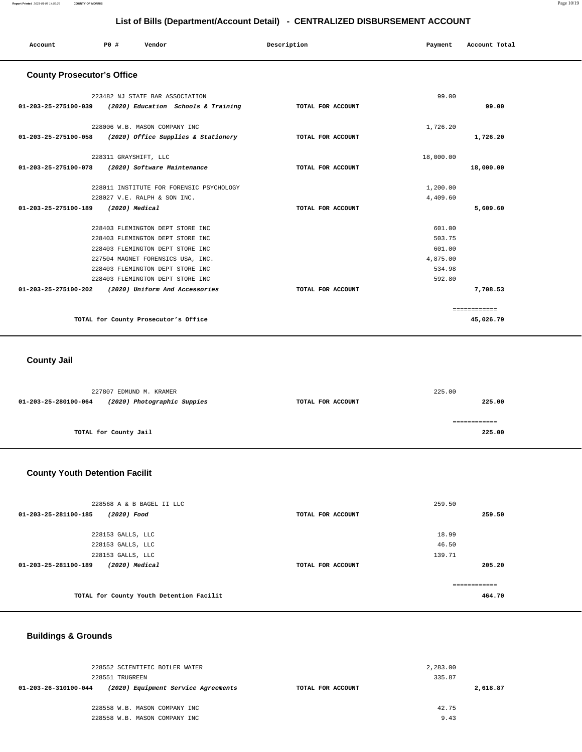| Account                           | P0 #                  | Vendor                                                   | Description       | Payment   | Account Total |
|-----------------------------------|-----------------------|----------------------------------------------------------|-------------------|-----------|---------------|
| <b>County Prosecutor's Office</b> |                       |                                                          |                   |           |               |
|                                   |                       | 223482 NJ STATE BAR ASSOCIATION                          |                   | 99.00     |               |
| 01-203-25-275100-039              |                       | (2020) Education Schools & Training                      | TOTAL FOR ACCOUNT |           | 99.00         |
|                                   |                       | 228006 W.B. MASON COMPANY INC                            |                   | 1,726.20  |               |
|                                   |                       | 01-203-25-275100-058 (2020) Office Supplies & Stationery | TOTAL FOR ACCOUNT |           | 1,726.20      |
|                                   | 228311 GRAYSHIFT, LLC |                                                          |                   | 18,000.00 |               |
| 01-203-25-275100-078              |                       | (2020) Software Maintenance                              | TOTAL FOR ACCOUNT |           | 18,000.00     |
|                                   |                       | 228011 INSTITUTE FOR FORENSIC PSYCHOLOGY                 |                   | 1,200.00  |               |
|                                   |                       | 228027 V.E. RALPH & SON INC.                             |                   | 4,409.60  |               |
| 01-203-25-275100-189              | $(2020)$ Medical      |                                                          | TOTAL FOR ACCOUNT |           | 5,609.60      |
|                                   |                       | 228403 FLEMINGTON DEPT STORE INC                         |                   | 601.00    |               |
|                                   |                       | 228403 FLEMINGTON DEPT STORE INC                         |                   | 503.75    |               |
|                                   |                       | 228403 FLEMINGTON DEPT STORE INC                         |                   | 601.00    |               |
|                                   |                       | 227504 MAGNET FORENSICS USA, INC.                        |                   | 4,875.00  |               |
|                                   |                       | 228403 FLEMINGTON DEPT STORE INC                         |                   | 534.98    |               |
|                                   |                       | 228403 FLEMINGTON DEPT STORE INC                         |                   | 592.80    |               |
| 01-203-25-275100-202              |                       | (2020) Uniform And Accessories                           | TOTAL FOR ACCOUNT |           | 7,708.53      |
|                                   |                       |                                                          |                   |           | ============  |
|                                   |                       | TOTAL for County Prosecutor's Office                     |                   |           | 45,026.79     |

## **County Jail**

|                      | 227807 EDMUND M. KRAMER     |                   | 225.00 |
|----------------------|-----------------------------|-------------------|--------|
| 01-203-25-280100-064 | (2020) Photographic Suppies | TOTAL FOR ACCOUNT | 225.00 |
|                      |                             |                   |        |
|                      |                             |                   |        |
|                      | TOTAL for County Jail       |                   | 225.00 |

## **County Youth Detention Facilit**

| 228568 A & B BAGEL II LLC                |                   | 259.50        |
|------------------------------------------|-------------------|---------------|
| 01-203-25-281100-185<br>(2020) Food      | TOTAL FOR ACCOUNT | 259.50        |
|                                          |                   |               |
| 228153 GALLS, LLC                        |                   | 18.99         |
| 228153 GALLS, LLC                        |                   | 46.50         |
| 228153 GALLS, LLC                        |                   | 139.71        |
| $(2020)$ Medical<br>01-203-25-281100-189 | TOTAL FOR ACCOUNT | 205.20        |
|                                          |                   |               |
|                                          |                   | ------------- |
| TOTAL for County Youth Detention Facilit |                   | 464.70        |

## **Buildings & Grounds**

| 228552 SCIENTIFIC BOILER WATER<br>228551 TRUGREEN           | 2,283.00<br>335.87 |          |
|-------------------------------------------------------------|--------------------|----------|
| (2020) Equipment Service Agreements<br>01-203-26-310100-044 | TOTAL FOR ACCOUNT  | 2,618.87 |
|                                                             |                    |          |
| 228558 W.B. MASON COMPANY INC                               | 42.75              |          |
| 228558 W.B. MASON COMPANY INC                               | 9.43               |          |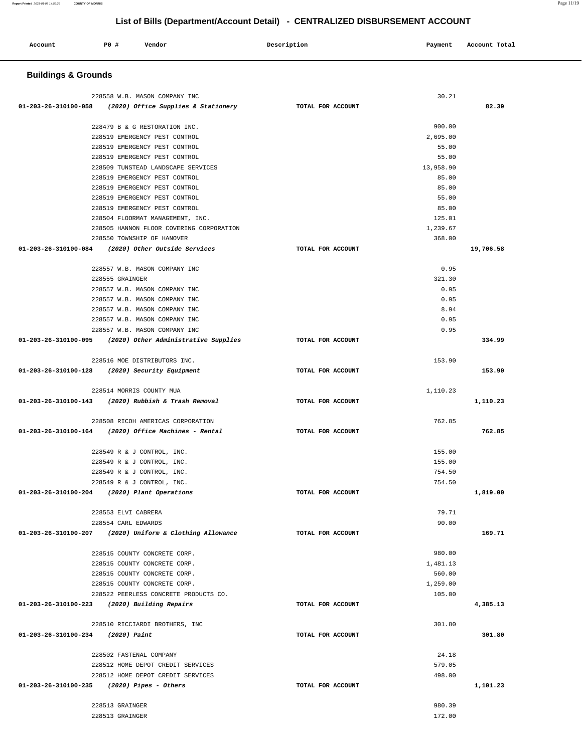| Account | <b>PO #</b> | Vendor | Description | Payment | Account Total<br>. |
|---------|-------------|--------|-------------|---------|--------------------|
|         |             |        |             |         |                    |

# **Buildings & Grounds**

|                                              | 228558 W.B. MASON COMPANY INC                             |                   | 30.21     |           |
|----------------------------------------------|-----------------------------------------------------------|-------------------|-----------|-----------|
|                                              | 01-203-26-310100-058 (2020) Office Supplies & Stationery  | TOTAL FOR ACCOUNT |           | 82.39     |
|                                              |                                                           |                   |           |           |
|                                              | 228479 B & G RESTORATION INC.                             |                   | 900.00    |           |
|                                              | 228519 EMERGENCY PEST CONTROL                             |                   | 2,695.00  |           |
|                                              | 228519 EMERGENCY PEST CONTROL                             |                   | 55.00     |           |
|                                              | 228519 EMERGENCY PEST CONTROL                             |                   | 55.00     |           |
|                                              | 228509 TUNSTEAD LANDSCAPE SERVICES                        |                   | 13,958.90 |           |
|                                              | 228519 EMERGENCY PEST CONTROL                             |                   | 85.00     |           |
|                                              | 228519 EMERGENCY PEST CONTROL                             |                   | 85.00     |           |
|                                              | 228519 EMERGENCY PEST CONTROL                             |                   | 55.00     |           |
|                                              | 228519 EMERGENCY PEST CONTROL                             |                   | 85.00     |           |
|                                              | 228504 FLOORMAT MANAGEMENT, INC.                          |                   | 125.01    |           |
|                                              | 228505 HANNON FLOOR COVERING CORPORATION                  |                   | 1,239.67  |           |
|                                              | 228550 TOWNSHIP OF HANOVER                                |                   | 368.00    |           |
|                                              | 01-203-26-310100-084 (2020) Other Outside Services        | TOTAL FOR ACCOUNT |           | 19,706.58 |
|                                              |                                                           |                   |           |           |
|                                              | 228557 W.B. MASON COMPANY INC                             |                   | 0.95      |           |
|                                              | 228555 GRAINGER                                           |                   | 321.30    |           |
|                                              | 228557 W.B. MASON COMPANY INC                             |                   | 0.95      |           |
|                                              | 228557 W.B. MASON COMPANY INC                             |                   | 0.95      |           |
|                                              | 228557 W.B. MASON COMPANY INC                             |                   | 8.94      |           |
|                                              | 228557 W.B. MASON COMPANY INC                             |                   | 0.95      |           |
|                                              | 228557 W.B. MASON COMPANY INC                             |                   | 0.95      |           |
|                                              | 01-203-26-310100-095 (2020) Other Administrative Supplies | TOTAL FOR ACCOUNT |           | 334.99    |
|                                              |                                                           |                   |           |           |
|                                              | 228516 MOE DISTRIBUTORS INC.                              |                   | 153.90    |           |
|                                              | 01-203-26-310100-128 (2020) Security Equipment            | TOTAL FOR ACCOUNT |           | 153.90    |
|                                              |                                                           |                   |           |           |
|                                              | 228514 MORRIS COUNTY MUA                                  |                   | 1,110.23  |           |
|                                              | 01-203-26-310100-143 (2020) Rubbish & Trash Removal       | TOTAL FOR ACCOUNT |           | 1,110.23  |
|                                              |                                                           |                   |           |           |
|                                              | 228508 RICOH AMERICAS CORPORATION                         |                   | 762.85    |           |
|                                              | 01-203-26-310100-164 (2020) Office Machines - Rental      | TOTAL FOR ACCOUNT |           | 762.85    |
|                                              |                                                           |                   |           |           |
|                                              | 228549 R & J CONTROL, INC.                                |                   | 155.00    |           |
|                                              | 228549 R & J CONTROL, INC.                                |                   | 155.00    |           |
|                                              | 228549 R & J CONTROL, INC.                                |                   | 754.50    |           |
|                                              | 228549 R & J CONTROL, INC.                                |                   | 754.50    |           |
| 01-203-26-310100-204 (2020) Plant Operations |                                                           | TOTAL FOR ACCOUNT |           | 1,819.00  |
|                                              |                                                           |                   |           |           |
|                                              | 228553 ELVI CABRERA                                       |                   | 79.71     |           |
|                                              | 228554 CARL EDWARDS                                       |                   | 90.00     |           |
| 01-203-26-310100-207                         | (2020) Uniform & Clothing Allowance                       | TOTAL FOR ACCOUNT |           | 169.71    |
|                                              |                                                           |                   |           |           |
|                                              | 228515 COUNTY CONCRETE CORP.                              |                   | 980.00    |           |
|                                              | 228515 COUNTY CONCRETE CORP.                              |                   | 1,481.13  |           |
|                                              | 228515 COUNTY CONCRETE CORP.                              |                   | 560.00    |           |
|                                              | 228515 COUNTY CONCRETE CORP.                              |                   | 1,259.00  |           |
|                                              | 228522 PEERLESS CONCRETE PRODUCTS CO.                     |                   | 105.00    |           |
| 01-203-26-310100-223 (2020) Building Repairs |                                                           | TOTAL FOR ACCOUNT |           | 4,385.13  |
|                                              |                                                           |                   |           |           |
|                                              | 228510 RICCIARDI BROTHERS, INC                            |                   | 301.80    |           |
| 01-203-26-310100-234 (2020) Paint            |                                                           | TOTAL FOR ACCOUNT |           | 301.80    |
|                                              |                                                           |                   |           |           |
|                                              | 228502 FASTENAL COMPANY                                   |                   | 24.18     |           |
|                                              | 228512 HOME DEPOT CREDIT SERVICES                         |                   | 579.05    |           |
|                                              | 228512 HOME DEPOT CREDIT SERVICES                         |                   | 498.00    |           |
| $01-203-26-310100-235$ (2020) Pipes - Others |                                                           | TOTAL FOR ACCOUNT |           | 1,101.23  |
|                                              |                                                           |                   |           |           |
|                                              | 228513 GRAINGER                                           |                   | 980.39    |           |
|                                              | 228513 GRAINGER                                           |                   | 172.00    |           |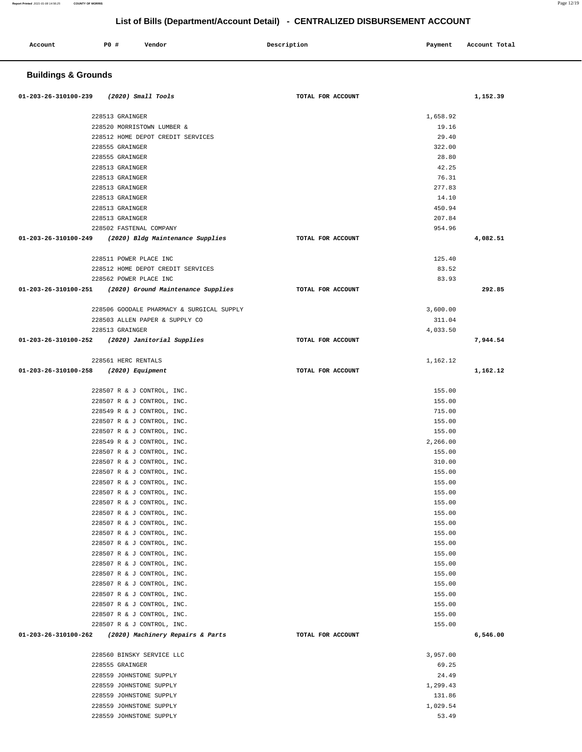| Account | P0 # | Vendor | Description | Payment | Account Total |
|---------|------|--------|-------------|---------|---------------|
|         |      |        |             |         |               |

# **Buildings & Grounds**

| 01-203-26-310100-239<br>(2020) Small Tools                | TOTAL FOR ACCOUNT |          | 1,152.39 |
|-----------------------------------------------------------|-------------------|----------|----------|
| 228513 GRAINGER                                           |                   | 1,658.92 |          |
| 228520 MORRISTOWN LUMBER &                                |                   | 19.16    |          |
| 228512 HOME DEPOT CREDIT SERVICES                         |                   | 29.40    |          |
| 228555 GRAINGER                                           |                   | 322.00   |          |
| 228555 GRAINGER                                           |                   | 28.80    |          |
| 228513 GRAINGER                                           |                   | 42.25    |          |
| 228513 GRAINGER                                           |                   | 76.31    |          |
| 228513 GRAINGER                                           |                   | 277.83   |          |
| 228513 GRAINGER                                           |                   | 14.10    |          |
| 228513 GRAINGER                                           |                   | 450.94   |          |
| 228513 GRAINGER                                           |                   | 207.84   |          |
| 228502 FASTENAL COMPANY                                   |                   | 954.96   |          |
| 01-203-26-310100-249 (2020) Bldg Maintenance Supplies     | TOTAL FOR ACCOUNT |          | 4,082.51 |
|                                                           |                   |          |          |
| 228511 POWER PLACE INC                                    |                   | 125.40   |          |
| 228512 HOME DEPOT CREDIT SERVICES                         |                   | 83.52    |          |
| 228562 POWER PLACE INC                                    |                   | 83.93    |          |
| $01-203-26-310100-251$ (2020) Ground Maintenance Supplies | TOTAL FOR ACCOUNT |          | 292.85   |
| 228506 GOODALE PHARMACY & SURGICAL SUPPLY                 |                   | 3,600.00 |          |
| 228503 ALLEN PAPER & SUPPLY CO                            |                   | 311.04   |          |
| 228513 GRAINGER                                           |                   | 4,033.50 |          |
| 01-203-26-310100-252 (2020) Janitorial Supplies           | TOTAL FOR ACCOUNT |          | 7,944.54 |
| 228561 HERC RENTALS                                       |                   | 1,162.12 |          |
| 01-203-26-310100-258 (2020) Equipment                     | TOTAL FOR ACCOUNT |          | 1,162.12 |
| 228507 R & J CONTROL, INC.                                |                   | 155.00   |          |
| 228507 R & J CONTROL, INC.                                |                   | 155.00   |          |
| 228549 R & J CONTROL, INC.                                |                   | 715.00   |          |
| 228507 R & J CONTROL, INC.                                |                   | 155.00   |          |
| 228507 R & J CONTROL, INC.                                |                   | 155.00   |          |
| 228549 R & J CONTROL, INC.                                |                   | 2,266.00 |          |
| 228507 R & J CONTROL, INC.                                |                   | 155.00   |          |
| 228507 R & J CONTROL, INC.                                |                   | 310.00   |          |
| 228507 R & J CONTROL, INC.                                |                   | 155.00   |          |
| 228507 R & J CONTROL, INC.                                |                   | 155.00   |          |
| 228507 R & J CONTROL, INC.                                |                   | 155.00   |          |
| 228507 R & J CONTROL, INC.                                |                   | 155.00   |          |
| 228507 R & J CONTROL, INC.                                |                   | 155.00   |          |
| 228507 R & J CONTROL, INC.                                |                   | 155.00   |          |
| 228507 R & J CONTROL, INC.                                |                   | 155.00   |          |
| 228507 R & J CONTROL, INC.                                |                   | 155.00   |          |
| 228507 R & J CONTROL, INC.                                |                   | 155.00   |          |
| 228507 R & J CONTROL, INC.                                |                   | 155.00   |          |
| 228507 R & J CONTROL, INC.                                |                   | 155.00   |          |
| 228507 R & J CONTROL, INC.                                |                   | 155.00   |          |
| 228507 R & J CONTROL, INC.                                |                   | 155.00   |          |
| 228507 R & J CONTROL, INC.                                |                   | 155.00   |          |
| 228507 R & J CONTROL, INC.                                |                   | 155.00   |          |
| 228507 R & J CONTROL, INC.                                |                   | 155.00   |          |
| 01-203-26-310100-262<br>(2020) Machinery Repairs & Parts  | TOTAL FOR ACCOUNT |          | 6,546.00 |
| 228560 BINSKY SERVICE LLC                                 |                   | 3,957.00 |          |
| 228555 GRAINGER                                           |                   | 69.25    |          |
| 228559 JOHNSTONE SUPPLY                                   |                   | 24.49    |          |
| 228559 JOHNSTONE SUPPLY                                   |                   | 1,299.43 |          |
| 228559 JOHNSTONE SUPPLY                                   |                   | 131.86   |          |
| 228559 JOHNSTONE SUPPLY                                   |                   | 1,029.54 |          |
| 228559 JOHNSTONE SUPPLY                                   |                   | 53.49    |          |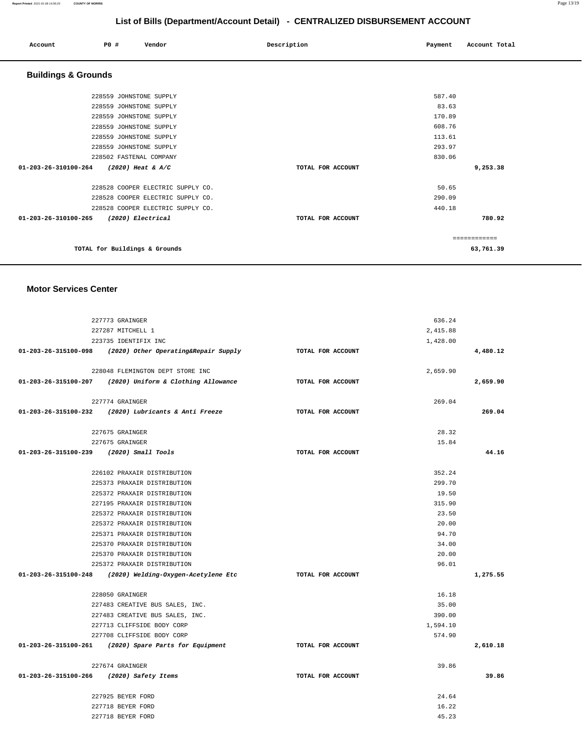| Account                        | P0 # | Vendor                            | Description |                   | Payment | Account Total |  |
|--------------------------------|------|-----------------------------------|-------------|-------------------|---------|---------------|--|
| <b>Buildings &amp; Grounds</b> |      |                                   |             |                   |         |               |  |
|                                |      | 228559 JOHNSTONE SUPPLY           |             |                   | 587.40  |               |  |
|                                |      | 228559 JOHNSTONE SUPPLY           |             |                   | 83.63   |               |  |
|                                |      | 228559 JOHNSTONE SUPPLY           |             |                   | 170.89  |               |  |
|                                |      | 228559 JOHNSTONE SUPPLY           |             |                   | 608.76  |               |  |
|                                |      | 228559 JOHNSTONE SUPPLY           |             |                   | 113.61  |               |  |
|                                |      | 228559 JOHNSTONE SUPPLY           |             |                   | 293.97  |               |  |
|                                |      | 228502 FASTENAL COMPANY           |             |                   | 830.06  |               |  |
| 01-203-26-310100-264           |      | $(2020)$ Heat & A/C               |             | TOTAL FOR ACCOUNT |         | 9,253.38      |  |
|                                |      | 228528 COOPER ELECTRIC SUPPLY CO. |             |                   | 50.65   |               |  |
|                                |      | 228528 COOPER ELECTRIC SUPPLY CO. |             |                   | 290.09  |               |  |
|                                |      | 228528 COOPER ELECTRIC SUPPLY CO. |             |                   | 440.18  |               |  |
| 01-203-26-310100-265           |      | (2020) Electrical                 |             | TOTAL FOR ACCOUNT |         | 780.92        |  |
|                                |      |                                   |             |                   |         | ------------  |  |
|                                |      | TOTAL for Buildings & Grounds     |             |                   |         | 63,761.39     |  |

#### **Motor Services Center**

| 227773 GRAINGER                                            |                   | 636.24   |          |
|------------------------------------------------------------|-------------------|----------|----------|
| 227287 MITCHELL 1                                          |                   | 2,415.88 |          |
| 223735 IDENTIFIX INC                                       |                   | 1,428.00 |          |
| 01-203-26-315100-098 (2020) Other Operating&Repair Supply  | TOTAL FOR ACCOUNT |          | 4,480.12 |
| 228048 FLEMINGTON DEPT STORE INC                           |                   | 2,659.90 |          |
| 01-203-26-315100-207 (2020) Uniform & Clothing Allowance   | TOTAL FOR ACCOUNT |          | 2,659.90 |
| 227774 GRAINGER                                            |                   | 269.04   |          |
| 01-203-26-315100-232 (2020) Lubricants & Anti Freeze       | TOTAL FOR ACCOUNT |          | 269.04   |
| 227675 GRAINGER                                            |                   | 28.32    |          |
| 227675 GRAINGER                                            |                   | 15.84    |          |
| 01-203-26-315100-239 (2020) Small Tools                    | TOTAL FOR ACCOUNT |          | 44.16    |
| 226102 PRAXAIR DISTRIBUTION                                |                   | 352.24   |          |
| 225373 PRAXAIR DISTRIBUTION                                |                   | 299.70   |          |
| 225372 PRAXAIR DISTRIBUTION                                |                   | 19.50    |          |
| 227195 PRAXAIR DISTRIBUTION                                |                   | 315.90   |          |
| 225372 PRAXAIR DISTRIBUTION                                |                   | 23.50    |          |
| 225372 PRAXAIR DISTRIBUTION                                |                   | 20.00    |          |
| 225371 PRAXAIR DISTRIBUTION                                |                   | 94.70    |          |
| 225370 PRAXAIR DISTRIBUTION                                |                   | 34.00    |          |
| 225370 PRAXAIR DISTRIBUTION                                |                   | 20.00    |          |
| 225372 PRAXAIR DISTRIBUTION                                |                   | 96.01    |          |
| $01-203-26-315100-248$ (2020) Welding-Oxygen-Acetylene Etc | TOTAL FOR ACCOUNT |          | 1,275.55 |
| 228050 GRAINGER                                            |                   | 16.18    |          |
| 227483 CREATIVE BUS SALES, INC.                            |                   | 35.00    |          |
| 227483 CREATIVE BUS SALES, INC.                            |                   | 390.00   |          |
| 227713 CLIFFSIDE BODY CORP                                 |                   | 1,594.10 |          |
| 227708 CLIFFSIDE BODY CORP                                 |                   | 574.90   |          |
| 01-203-26-315100-261 (2020) Spare Parts for Equipment      | TOTAL FOR ACCOUNT |          | 2,610.18 |
| 227674 GRAINGER                                            |                   | 39.86    |          |
| 01-203-26-315100-266 (2020) Safety Items                   | TOTAL FOR ACCOUNT |          | 39.86    |
| 227925 BEYER FORD                                          |                   | 24.64    |          |
| 227718 BEYER FORD                                          |                   | 16.22    |          |
| 227718 BEYER FORD                                          |                   | 45.23    |          |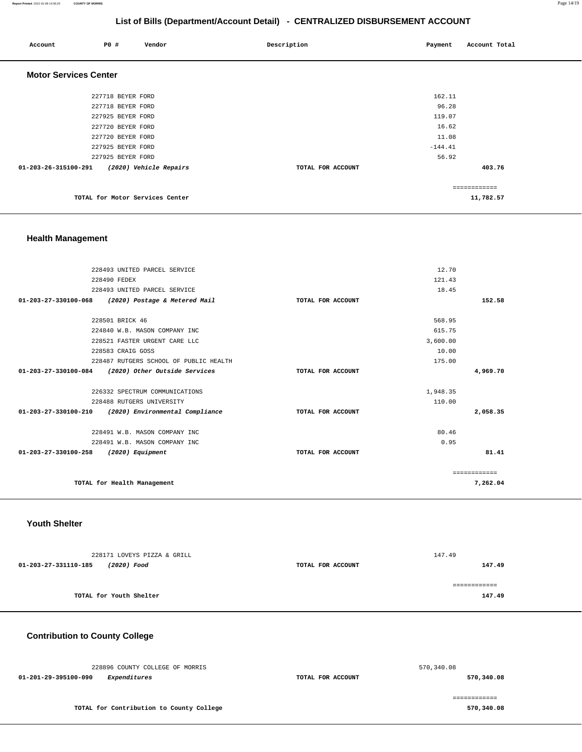#### **Report Printed** 2021-01-08 14:56:25 **COUNTY OF MORRIS** Page 14/19

## **List of Bills (Department/Account Detail) - CENTRALIZED DISBURSEMENT ACCOUNT**

| Account                        | P0 #              | Vendor                          | Description       | Payment   | Account Total |
|--------------------------------|-------------------|---------------------------------|-------------------|-----------|---------------|
| <b>Motor Services Center</b>   |                   |                                 |                   |           |               |
|                                | 227718 BEYER FORD |                                 |                   | 162.11    |               |
|                                | 227718 BEYER FORD |                                 |                   | 96.28     |               |
|                                | 227925 BEYER FORD |                                 |                   | 119.07    |               |
|                                | 227720 BEYER FORD |                                 |                   | 16.62     |               |
|                                | 227720 BEYER FORD |                                 |                   | 11.08     |               |
|                                | 227925 BEYER FORD |                                 |                   | $-144.41$ |               |
|                                | 227925 BEYER FORD |                                 |                   | 56.92     |               |
| $01 - 203 - 26 - 315100 - 291$ |                   | (2020) Vehicle Repairs          | TOTAL FOR ACCOUNT |           | 403.76        |
|                                |                   |                                 |                   |           | ============  |
|                                |                   | TOTAL for Motor Services Center |                   |           | 11,782.57     |

## **Health Management**

|              | 12.70    |                   | 228493 UNITED PARCEL SERVICE                       |                                |
|--------------|----------|-------------------|----------------------------------------------------|--------------------------------|
|              | 121.43   |                   | 228490 FEDEX                                       |                                |
|              | 18.45    |                   | 228493 UNITED PARCEL SERVICE                       |                                |
| 152.58       |          | TOTAL FOR ACCOUNT | (2020) Postage & Metered Mail                      | 01-203-27-330100-068           |
|              | 568.95   |                   | 228501 BRICK 46                                    |                                |
|              | 615.75   |                   | 224840 W.B. MASON COMPANY INC                      |                                |
|              | 3,600.00 |                   | 228521 FASTER URGENT CARE LLC                      |                                |
|              | 10.00    |                   | 228583 CRAIG GOSS                                  |                                |
|              | 175.00   |                   | 228487 RUTGERS SCHOOL OF PUBLIC HEALTH             |                                |
| 4,969.70     |          | TOTAL FOR ACCOUNT | 01-203-27-330100-084 (2020) Other Outside Services |                                |
|              | 1,948.35 |                   | 226332 SPECTRUM COMMUNICATIONS                     |                                |
|              | 110.00   |                   | 228488 RUTGERS UNIVERSITY                          |                                |
| 2,058.35     |          | TOTAL FOR ACCOUNT | (2020) Environmental Compliance                    | $01 - 203 - 27 - 330100 - 210$ |
|              | 80.46    |                   | 228491 W.B. MASON COMPANY INC                      |                                |
|              | 0.95     |                   | 228491 W.B. MASON COMPANY INC                      |                                |
| 81.41        |          | TOTAL FOR ACCOUNT | (2020) Equipment                                   | 01-203-27-330100-258           |
| ============ |          |                   |                                                    |                                |
| 7,262.04     |          |                   | TOTAL for Health Management                        |                                |
|              |          |                   |                                                    |                                |

## **Youth Shelter**

| 228171 LOVEYS PIZZA & GRILL         |                   | 147.49 |
|-------------------------------------|-------------------|--------|
| 01-203-27-331110-185<br>(2020) Food | TOTAL FOR ACCOUNT | 147.49 |
|                                     |                   |        |
|                                     |                   |        |
| TOTAL for Youth Shelter             |                   | 147.49 |
|                                     |                   |        |

## **Contribution to County College**

| 228896 COUNTY COLLEGE OF MORRIS          |                   | 570,340.08 |  |
|------------------------------------------|-------------------|------------|--|
| 01-201-29-395100-090<br>Expenditures     | TOTAL FOR ACCOUNT | 570,340.08 |  |
|                                          |                   |            |  |
| TOTAL for Contribution to County College |                   | 570,340.08 |  |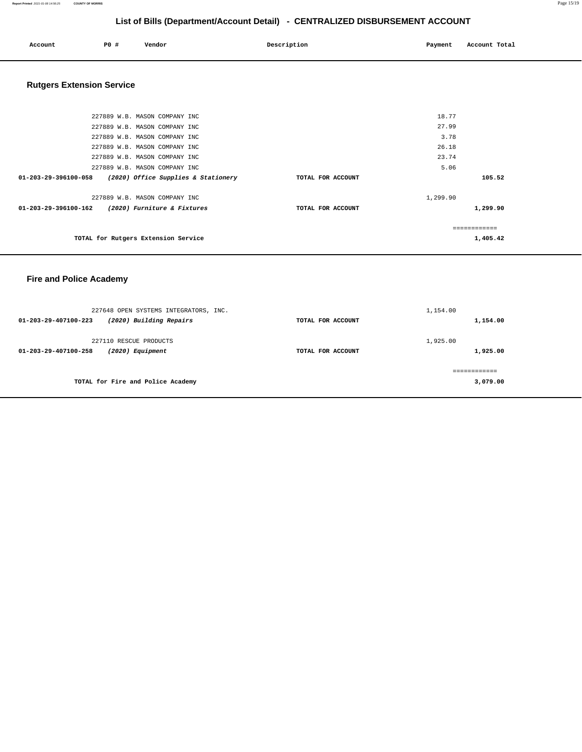| Account | P0 # | Vendor | Description | Payment | Account Total |
|---------|------|--------|-------------|---------|---------------|
|         |      |        |             |         |               |

# **Rutgers Extension Service**

| 227889 W.B. MASON COMPANY INC                                         |                   | 18.77    |
|-----------------------------------------------------------------------|-------------------|----------|
| 227889 W.B. MASON COMPANY INC                                         |                   | 27.99    |
| 227889 W.B. MASON COMPANY INC                                         |                   | 3.78     |
| 227889 W.B. MASON COMPANY INC                                         |                   | 26.18    |
| 227889 W.B. MASON COMPANY INC                                         |                   | 23.74    |
| 227889 W.B. MASON COMPANY INC                                         |                   | 5.06     |
| $01 - 203 - 29 - 396100 - 058$<br>(2020) Office Supplies & Stationery | TOTAL FOR ACCOUNT | 105.52   |
| 227889 W.B. MASON COMPANY INC                                         |                   | 1,299.90 |
| (2020) Furniture & Fixtures<br>$01 - 203 - 29 - 396100 - 162$         | TOTAL FOR ACCOUNT | 1,299.90 |
|                                                                       |                   |          |
| TOTAL for Rutgers Extension Service                                   |                   | 1,405.42 |

## **Fire and Police Academy**

| 227648 OPEN SYSTEMS INTEGRATORS, INC.<br>(2020) Building Repairs<br>01-203-29-407100-223 | TOTAL FOR ACCOUNT | 1,154.00<br>1,154.00 |
|------------------------------------------------------------------------------------------|-------------------|----------------------|
| 227110 RESCUE PRODUCTS<br>01-203-29-407100-258<br>(2020) Equipment                       | TOTAL FOR ACCOUNT | 1,925.00<br>1,925.00 |
| TOTAL for Fire and Police Academy                                                        |                   | <br>3,079.00         |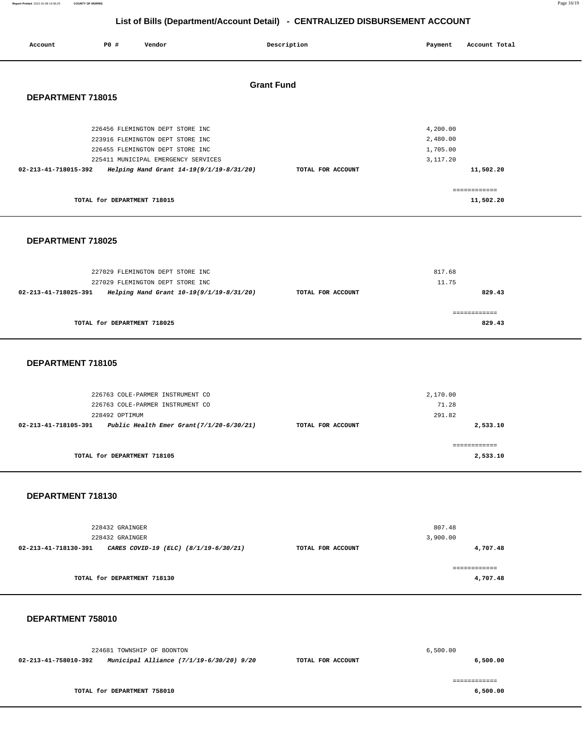| Account              | <b>PO #</b>                 | Vendor                                   |                   | Description       | Payment  | Account Total |  |
|----------------------|-----------------------------|------------------------------------------|-------------------|-------------------|----------|---------------|--|
|                      |                             |                                          | <b>Grant Fund</b> |                   |          |               |  |
| DEPARTMENT 718015    |                             |                                          |                   |                   |          |               |  |
|                      |                             | 226456 FLEMINGTON DEPT STORE INC         |                   |                   | 4,200.00 |               |  |
|                      |                             | 223916 FLEMINGTON DEPT STORE INC         |                   |                   | 2,480.00 |               |  |
|                      |                             | 226455 FLEMINGTON DEPT STORE INC         |                   |                   | 1,705.00 |               |  |
|                      |                             | 225411 MUNICIPAL EMERGENCY SERVICES      |                   |                   | 3,117.20 |               |  |
| 02-213-41-718015-392 |                             | Helping Hand Grant 14-19(9/1/19-8/31/20) |                   | TOTAL FOR ACCOUNT |          | 11,502.20     |  |
|                      |                             |                                          |                   |                   |          |               |  |
|                      |                             |                                          |                   |                   |          | ------------- |  |
|                      | TOTAL for DEPARTMENT 718015 |                                          |                   |                   |          | 11,502.20     |  |

#### **DEPARTMENT 718025**

| 227029 FLEMINGTON DEPT STORE INC<br>227029 FLEMINGTON DEPT STORE INC |                   | 817.68<br>11.75 |
|----------------------------------------------------------------------|-------------------|-----------------|
| Helping Hand Grant 10-19(9/1/19-8/31/20)<br>02-213-41-718025-391     | TOTAL FOR ACCOUNT | 829.43          |
| TOTAL for DEPARTMENT 718025                                          |                   | 829.43          |

#### **DEPARTMENT 718105**

| 226763 COLE-PARMER INSTRUMENT CO<br>226763 COLE-PARMER INSTRUMENT CO<br>228492 OPTIMUM |                   | 2,170.00<br>71.28<br>291.82 |
|----------------------------------------------------------------------------------------|-------------------|-----------------------------|
| Public Health Emer Grant $(7/1/20-6/30/21)$<br>02-213-41-718105-391                    | TOTAL FOR ACCOUNT | 2,533.10                    |
| TOTAL for DEPARTMENT 718105                                                            |                   | :===========<br>2,533.10    |

#### **DEPARTMENT 718130**

| 228432 GRAINGER<br>228432 GRAINGER                            |                   | 807.48<br>3,900.00 |
|---------------------------------------------------------------|-------------------|--------------------|
| 02-213-41-718130-391<br>CARES COVID-19 (ELC) (8/1/19-6/30/21) | TOTAL FOR ACCOUNT | 4,707.48           |
| TOTAL for DEPARTMENT 718130                                   |                   | 4,707.48           |

#### **DEPARTMENT 758010**

|                      | 224681 TOWNSHIP OF BOONTON               |                   | 6.500.00 |
|----------------------|------------------------------------------|-------------------|----------|
| 02-213-41-758010-392 | Municipal Alliance (7/1/19-6/30/20) 9/20 | TOTAL FOR ACCOUNT | 6,500.00 |
|                      |                                          |                   |          |
|                      |                                          |                   |          |
|                      | TOTAL for DEPARTMENT 758010              |                   | 6,500.00 |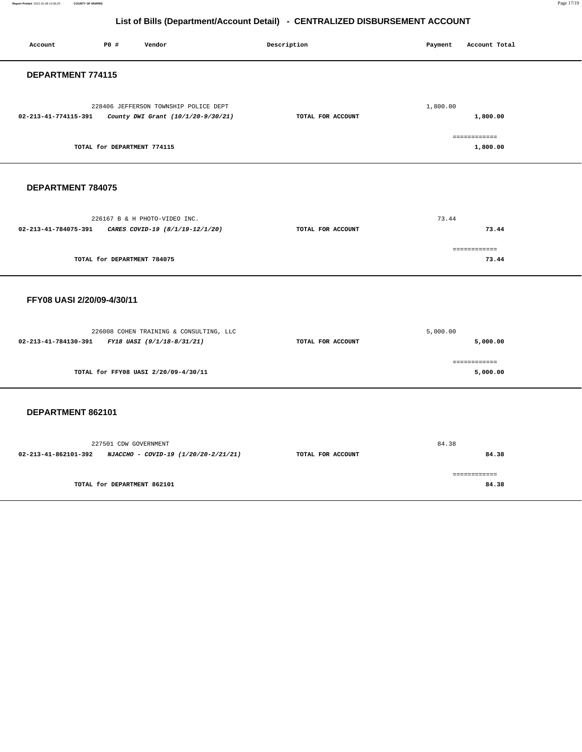| Account                                         | P0 #                        | Vendor                                                                                | Description       | Payment  | Account Total                        |
|-------------------------------------------------|-----------------------------|---------------------------------------------------------------------------------------|-------------------|----------|--------------------------------------|
| DEPARTMENT 774115                               |                             |                                                                                       |                   |          |                                      |
| 02-213-41-774115-391                            |                             | 228406 JEFFERSON TOWNSHIP POLICE DEPT<br>County DWI Grant (10/1/20-9/30/21)           | TOTAL FOR ACCOUNT | 1,800.00 | 1,800.00                             |
|                                                 | TOTAL for DEPARTMENT 774115 |                                                                                       |                   |          | ============<br>1,800.00             |
| DEPARTMENT 784075                               |                             |                                                                                       |                   |          |                                      |
|                                                 |                             | 226167 B & H PHOTO-VIDEO INC.<br>02-213-41-784075-391 CARES COVID-19 (8/1/19-12/1/20) | TOTAL FOR ACCOUNT | 73.44    | 73.44                                |
|                                                 | TOTAL for DEPARTMENT 784075 |                                                                                       |                   |          | ============<br>73.44                |
| FFY08 UASI 2/20/09-4/30/11                      |                             |                                                                                       |                   |          |                                      |
| 02-213-41-784130-391 FY18 UASI (9/1/18-8/31/21) |                             | 226008 COHEN TRAINING & CONSULTING, LLC                                               | TOTAL FOR ACCOUNT | 5,000.00 | 5,000.00                             |
|                                                 |                             | TOTAL for FFY08 UASI 2/20/09-4/30/11                                                  |                   |          | ------------<br>5,000.00             |
| DEPARTMENT 862101                               |                             |                                                                                       |                   |          |                                      |
|                                                 | 227501 CDW GOVERNMENT       | 02-213-41-862101-392 NJACCHO - COVID-19 (1/20/20-2/21/21)                             | TOTAL FOR ACCOUNT | 84.38    | 84.38                                |
|                                                 | TOTAL for DEPARTMENT 862101 |                                                                                       |                   |          | $=$ = = = = = = = = = = = =<br>84.38 |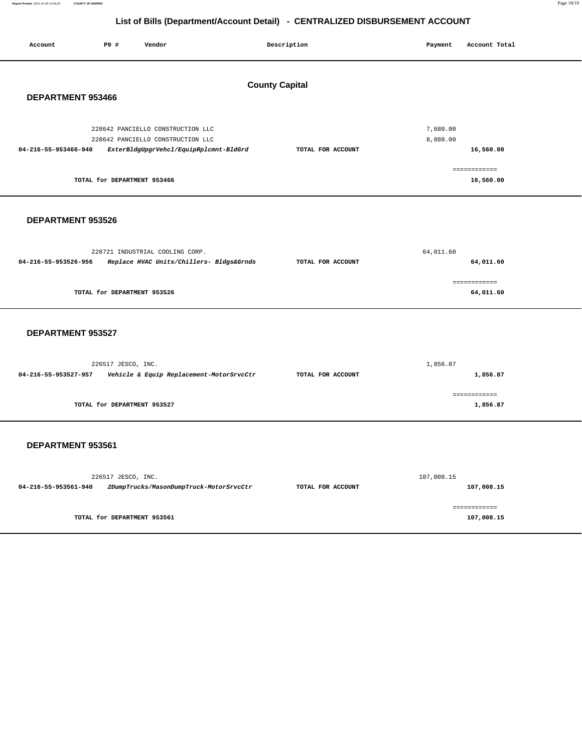**Report Printed** 2021-01-08 14:56:25 **COUNTY OF MORRIS** Page 18/19

## **List of Bills (Department/Account Detail) - CENTRALIZED DISBURSEMENT ACCOUNT**

| Account              | <b>PO #</b>                 | Vendor                                                                      | Description           | Payment    | Account Total             |  |
|----------------------|-----------------------------|-----------------------------------------------------------------------------|-----------------------|------------|---------------------------|--|
|                      |                             |                                                                             |                       |            |                           |  |
|                      |                             |                                                                             |                       |            |                           |  |
|                      |                             |                                                                             | <b>County Capital</b> |            |                           |  |
| DEPARTMENT 953466    |                             |                                                                             |                       |            |                           |  |
|                      |                             |                                                                             |                       |            |                           |  |
|                      |                             | 228642 PANCIELLO CONSTRUCTION LLC                                           |                       | 7,680.00   |                           |  |
| 04-216-55-953466-940 |                             | 228642 PANCIELLO CONSTRUCTION LLC<br>ExterBldgUpgrVehcl/EquipRplcmnt-BldGrd | TOTAL FOR ACCOUNT     | 8,880.00   | 16,560.00                 |  |
|                      |                             |                                                                             |                       |            |                           |  |
|                      | TOTAL for DEPARTMENT 953466 |                                                                             |                       |            | ============<br>16,560.00 |  |
|                      |                             |                                                                             |                       |            |                           |  |
|                      |                             |                                                                             |                       |            |                           |  |
| DEPARTMENT 953526    |                             |                                                                             |                       |            |                           |  |
|                      |                             |                                                                             |                       |            |                           |  |
|                      |                             | 228721 INDUSTRIAL COOLING CORP.                                             |                       | 64,011.60  |                           |  |
| 04-216-55-953526-956 |                             | Replace HVAC Units/Chillers- Bldgs&Grnds                                    | TOTAL FOR ACCOUNT     |            | 64,011.60                 |  |
|                      |                             |                                                                             |                       |            | ============              |  |
|                      | TOTAL for DEPARTMENT 953526 |                                                                             |                       |            | 64,011.60                 |  |
|                      |                             |                                                                             |                       |            |                           |  |
|                      |                             |                                                                             |                       |            |                           |  |
| DEPARTMENT 953527    |                             |                                                                             |                       |            |                           |  |
|                      |                             |                                                                             |                       |            |                           |  |
|                      | 226517 JESCO, INC.          |                                                                             |                       | 1,856.87   |                           |  |
| 04-216-55-953527-957 |                             | Vehicle & Equip Replacement-MotorSrvcCtr                                    | TOTAL FOR ACCOUNT     |            | 1,856.87                  |  |
|                      |                             |                                                                             |                       |            | ============              |  |
|                      | TOTAL for DEPARTMENT 953527 |                                                                             |                       |            | 1,856.87                  |  |
|                      |                             |                                                                             |                       |            |                           |  |
|                      |                             |                                                                             |                       |            |                           |  |
| DEPARTMENT 953561    |                             |                                                                             |                       |            |                           |  |
|                      |                             |                                                                             |                       |            |                           |  |
|                      | 226517 JESCO, INC.          |                                                                             |                       | 107,008.15 |                           |  |
| 04-216-55-953561-940 |                             | 2DumpTrucks/MasonDumpTruck-MotorSrvcCtr                                     | TOTAL FOR ACCOUNT     |            | 107,008.15                |  |
|                      |                             |                                                                             |                       |            | ============              |  |
|                      | TOTAL for DEPARTMENT 953561 |                                                                             |                       |            | 107,008.15                |  |